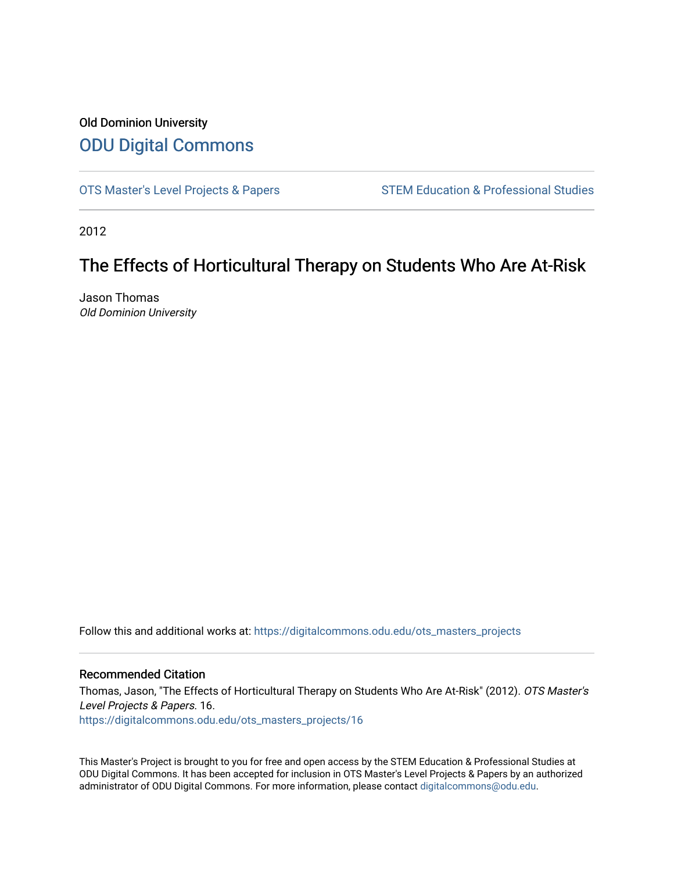# Old Dominion University [ODU Digital Commons](https://digitalcommons.odu.edu/)

[OTS Master's Level Projects & Papers](https://digitalcommons.odu.edu/ots_masters_projects) STEM Education & Professional Studies

2012

# The Effects of Horticultural Therapy on Students Who Are At-Risk

Jason Thomas Old Dominion University

Follow this and additional works at: [https://digitalcommons.odu.edu/ots\\_masters\\_projects](https://digitalcommons.odu.edu/ots_masters_projects?utm_source=digitalcommons.odu.edu%2Fots_masters_projects%2F16&utm_medium=PDF&utm_campaign=PDFCoverPages) 

#### Recommended Citation

Thomas, Jason, "The Effects of Horticultural Therapy on Students Who Are At-Risk" (2012). OTS Master's Level Projects & Papers. 16. [https://digitalcommons.odu.edu/ots\\_masters\\_projects/16](https://digitalcommons.odu.edu/ots_masters_projects/16?utm_source=digitalcommons.odu.edu%2Fots_masters_projects%2F16&utm_medium=PDF&utm_campaign=PDFCoverPages)

This Master's Project is brought to you for free and open access by the STEM Education & Professional Studies at ODU Digital Commons. It has been accepted for inclusion in OTS Master's Level Projects & Papers by an authorized administrator of ODU Digital Commons. For more information, please contact [digitalcommons@odu.edu](mailto:digitalcommons@odu.edu).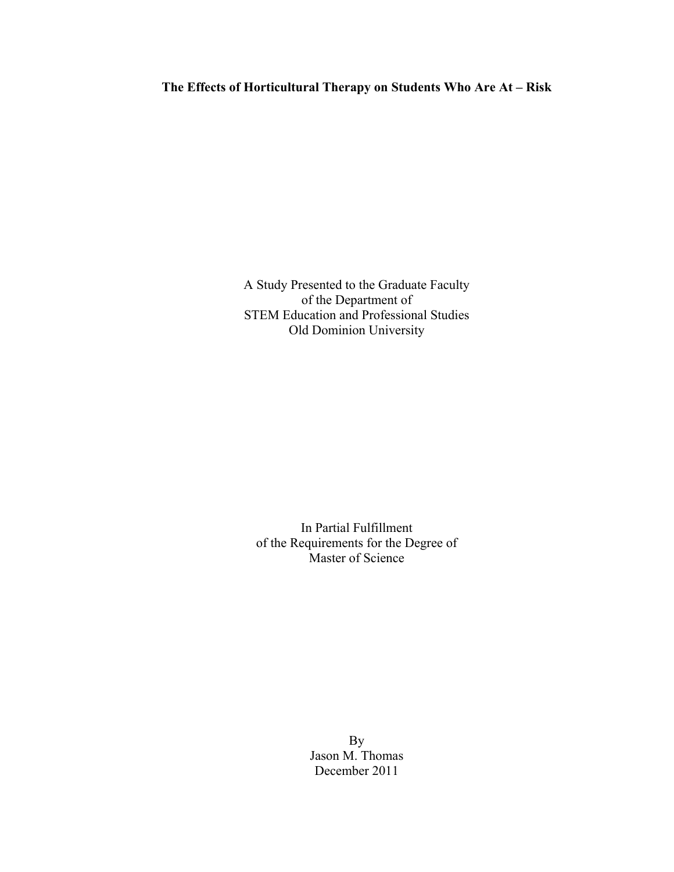A Study Presented to the Graduate Faculty of the Department of STEM Education and Professional Studies Old Dominion University

In Partial Fulfillment of the Requirements for the Degree of Master of Science

> By Jason M. Thomas December 2011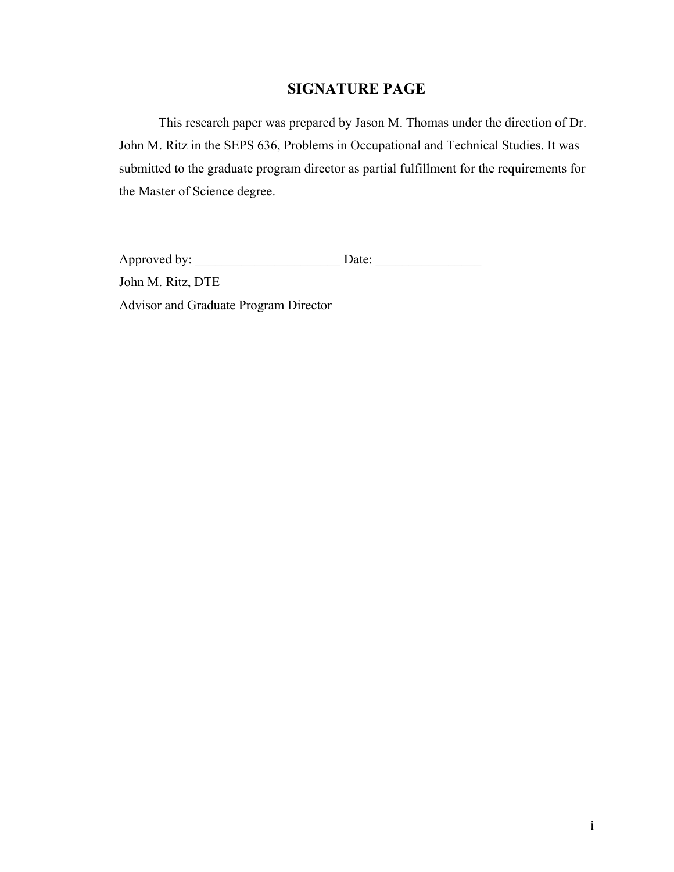# **SIGNATURE PAGE**

This research paper was prepared by Jason M. Thomas under the direction of Dr. John M. Ritz in the SEPS 636, Problems in Occupational and Technical Studies. It was submitted to the graduate program director as partial fulfillment for the requirements for the Master of Science degree.

Approved by: \_\_\_\_\_\_\_\_\_\_\_\_\_\_\_\_\_\_\_\_\_\_ Date: \_\_\_\_\_\_\_\_\_\_\_\_\_\_\_\_ John M. Ritz, DTE Advisor and Graduate Program Director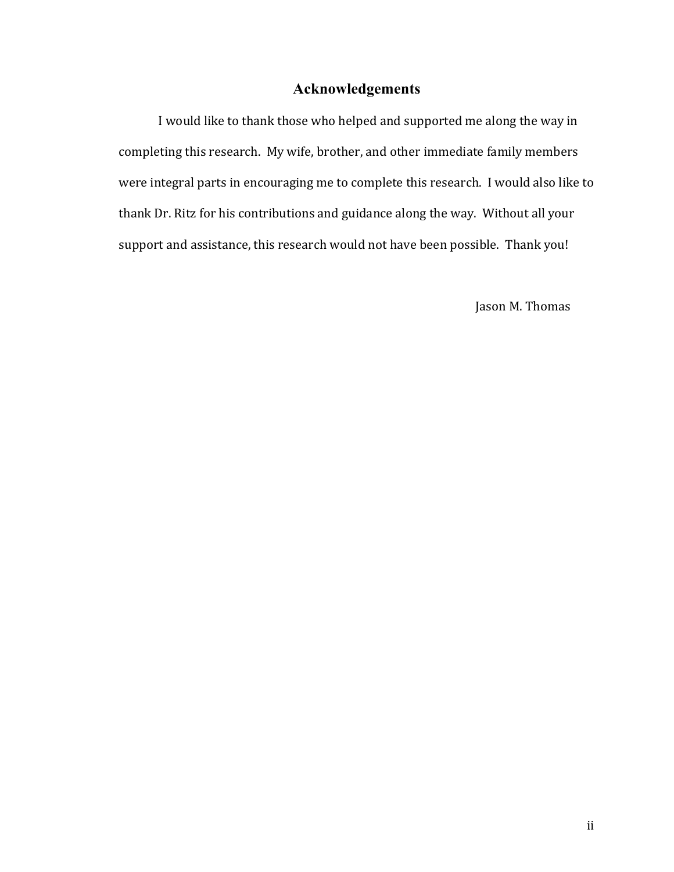# **Acknowledgements**

I would like to thank those who helped and supported me along the way in completing this research. My wife, brother, and other immediate family members were integral parts in encouraging me to complete this research. I would also like to thank Dr. Ritz for his contributions and guidance along the way. Without all your support and assistance, this research would not have been possible. Thank you!

Jason M. Thomas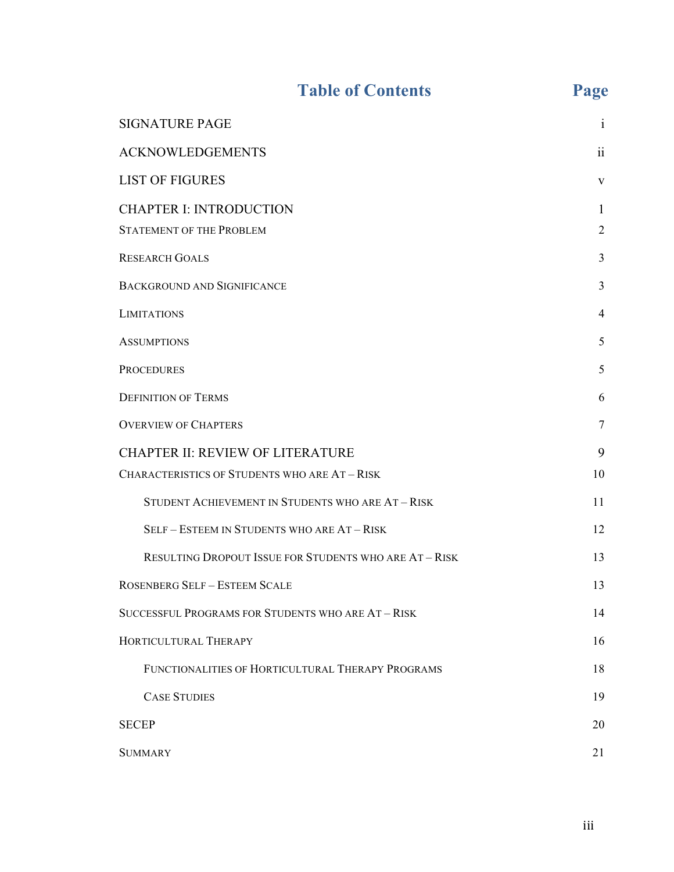# Table of Contents Page

| <b>SIGNATURE PAGE</b>                                  | 1              |
|--------------------------------------------------------|----------------|
| <b>ACKNOWLEDGEMENTS</b>                                | 11             |
| <b>LIST OF FIGURES</b>                                 | $\mathbf{V}$   |
| <b>CHAPTER I: INTRODUCTION</b>                         | 1              |
| <b>STATEMENT OF THE PROBLEM</b>                        | $\overline{c}$ |
| <b>RESEARCH GOALS</b>                                  | 3              |
| <b>BACKGROUND AND SIGNIFICANCE</b>                     | 3              |
| <b>LIMITATIONS</b>                                     | $\overline{4}$ |
| <b>ASSUMPTIONS</b>                                     | 5              |
| <b>PROCEDURES</b>                                      | 5              |
| <b>DEFINITION OF TERMS</b>                             | 6              |
| <b>OVERVIEW OF CHAPTERS</b>                            | 7              |
| <b>CHAPTER II: REVIEW OF LITERATURE</b>                | 9              |
| <b>CHARACTERISTICS OF STUDENTS WHO ARE AT - RISK</b>   | 10             |
| STUDENT ACHIEVEMENT IN STUDENTS WHO ARE AT - RISK      | 11             |
| SELF - ESTEEM IN STUDENTS WHO ARE AT - RISK            | 12             |
| RESULTING DROPOUT ISSUE FOR STUDENTS WHO ARE AT - RISK | 13             |
| <b>ROSENBERG SELF - ESTEEM SCALE</b>                   | 13             |
| SUCCESSFUL PROGRAMS FOR STUDENTS WHO ARE AT - RISK     | 14             |
| HORTICULTURAL THERAPY                                  | 16             |
| FUNCTIONALITIES OF HORTICULTURAL THERAPY PROGRAMS      | 18             |
| <b>CASE STUDIES</b>                                    | 19             |
| <b>SECEP</b>                                           | 20             |
| <b>SUMMARY</b>                                         | 21             |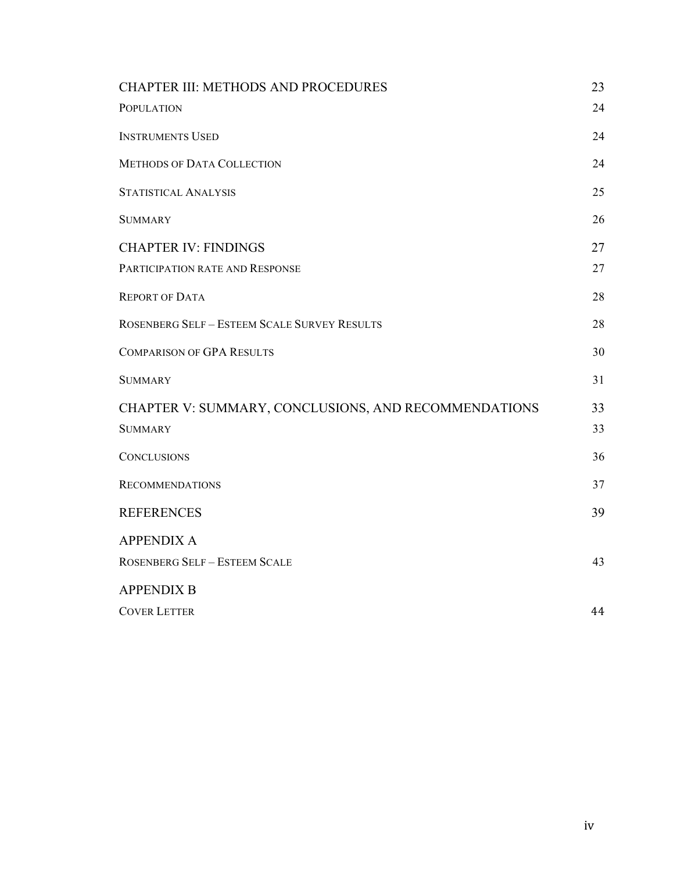| <b>CHAPTER III: METHODS AND PROCEDURES</b>           | 23 |
|------------------------------------------------------|----|
| <b>POPULATION</b>                                    | 24 |
| <b>INSTRUMENTS USED</b>                              | 24 |
| <b>METHODS OF DATA COLLECTION</b>                    | 24 |
| STATISTICAL ANALYSIS                                 | 25 |
| <b>SUMMARY</b>                                       | 26 |
| <b>CHAPTER IV: FINDINGS</b>                          | 27 |
| PARTICIPATION RATE AND RESPONSE                      | 27 |
| <b>REPORT OF DATA</b>                                | 28 |
| <b>ROSENBERG SELF - ESTEEM SCALE SURVEY RESULTS</b>  | 28 |
| <b>COMPARISON OF GPA RESULTS</b>                     | 30 |
| <b>SUMMARY</b>                                       | 31 |
| CHAPTER V: SUMMARY, CONCLUSIONS, AND RECOMMENDATIONS | 33 |
| <b>SUMMARY</b>                                       | 33 |
| <b>CONCLUSIONS</b>                                   | 36 |
| <b>RECOMMENDATIONS</b>                               | 37 |
| <b>REFERENCES</b>                                    | 39 |
| <b>APPENDIX A</b>                                    |    |
| <b>ROSENBERG SELF - ESTEEM SCALE</b>                 | 43 |
| <b>APPENDIX B</b>                                    |    |
| <b>COVER LETTER</b>                                  | 44 |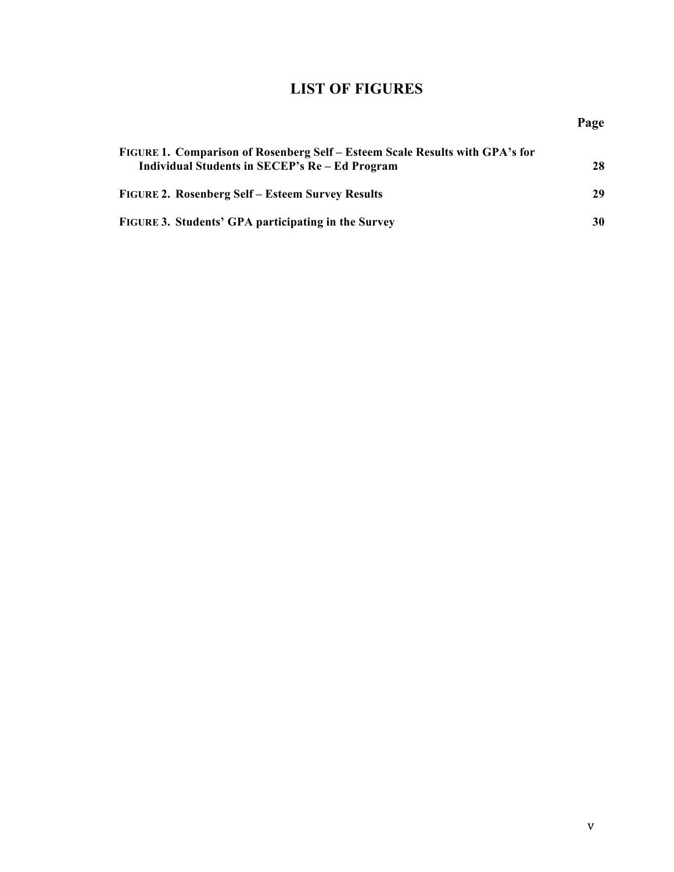# **LIST OF FIGURES**

| FIGURE 1. Comparison of Rosenberg Self – Esteem Scale Results with GPA's for<br>Individual Students in SECEP's Re – Ed Program |    |  |
|--------------------------------------------------------------------------------------------------------------------------------|----|--|
| <b>FIGURE 2. Rosenberg Self – Esteem Survey Results</b>                                                                        | 29 |  |
| FIGURE 3. Students' GPA participating in the Survey                                                                            | 30 |  |

**Page**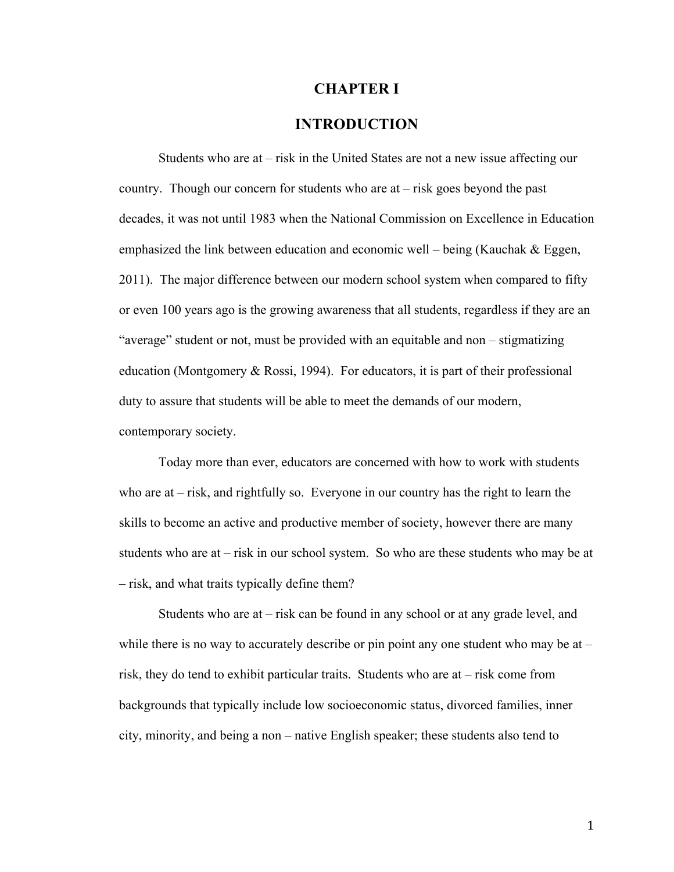#### **CHAPTER I**

#### **INTRODUCTION**

Students who are at – risk in the United States are not a new issue affecting our country. Though our concern for students who are at – risk goes beyond the past decades, it was not until 1983 when the National Commission on Excellence in Education emphasized the link between education and economic well – being (Kauchak  $\&$  Eggen, 2011). The major difference between our modern school system when compared to fifty or even 100 years ago is the growing awareness that all students, regardless if they are an "average" student or not, must be provided with an equitable and non – stigmatizing education (Montgomery & Rossi, 1994). For educators, it is part of their professional duty to assure that students will be able to meet the demands of our modern, contemporary society.

Today more than ever, educators are concerned with how to work with students who are at – risk, and rightfully so. Everyone in our country has the right to learn the skills to become an active and productive member of society, however there are many students who are at – risk in our school system. So who are these students who may be at – risk, and what traits typically define them?

Students who are at – risk can be found in any school or at any grade level, and while there is no way to accurately describe or pin point any one student who may be at – risk, they do tend to exhibit particular traits. Students who are at – risk come from backgrounds that typically include low socioeconomic status, divorced families, inner city, minority, and being a non – native English speaker; these students also tend to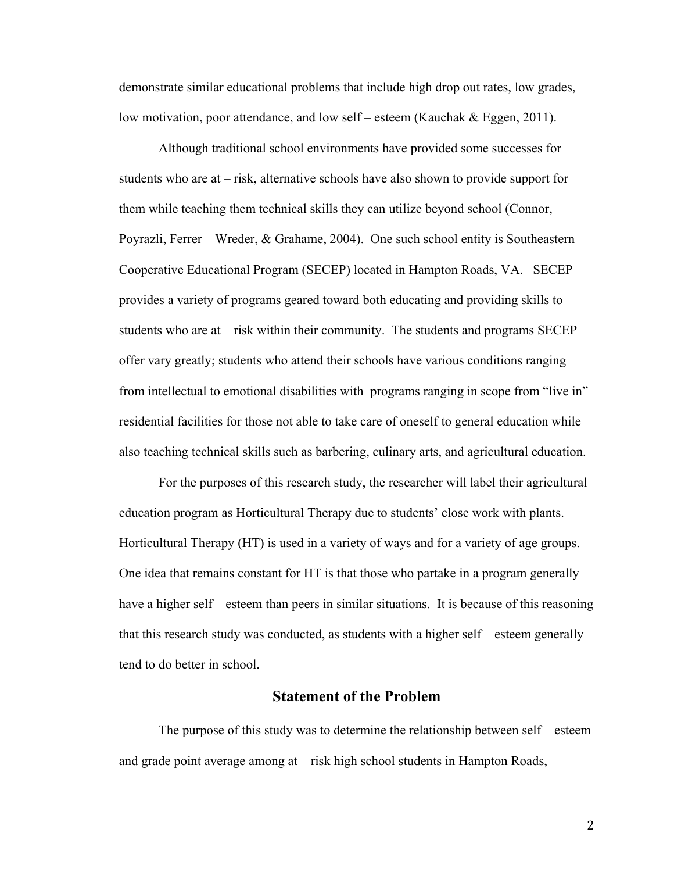demonstrate similar educational problems that include high drop out rates, low grades, low motivation, poor attendance, and low self – esteem (Kauchak & Eggen, 2011).

Although traditional school environments have provided some successes for students who are at – risk, alternative schools have also shown to provide support for them while teaching them technical skills they can utilize beyond school (Connor, Poyrazli, Ferrer – Wreder, & Grahame, 2004). One such school entity is Southeastern Cooperative Educational Program (SECEP) located in Hampton Roads, VA. SECEP provides a variety of programs geared toward both educating and providing skills to students who are at – risk within their community. The students and programs SECEP offer vary greatly; students who attend their schools have various conditions ranging from intellectual to emotional disabilities with programs ranging in scope from "live in" residential facilities for those not able to take care of oneself to general education while also teaching technical skills such as barbering, culinary arts, and agricultural education.

For the purposes of this research study, the researcher will label their agricultural education program as Horticultural Therapy due to students' close work with plants. Horticultural Therapy (HT) is used in a variety of ways and for a variety of age groups. One idea that remains constant for HT is that those who partake in a program generally have a higher self – esteem than peers in similar situations. It is because of this reasoning that this research study was conducted, as students with a higher self – esteem generally tend to do better in school.

#### **Statement of the Problem**

The purpose of this study was to determine the relationship between self – esteem and grade point average among at – risk high school students in Hampton Roads,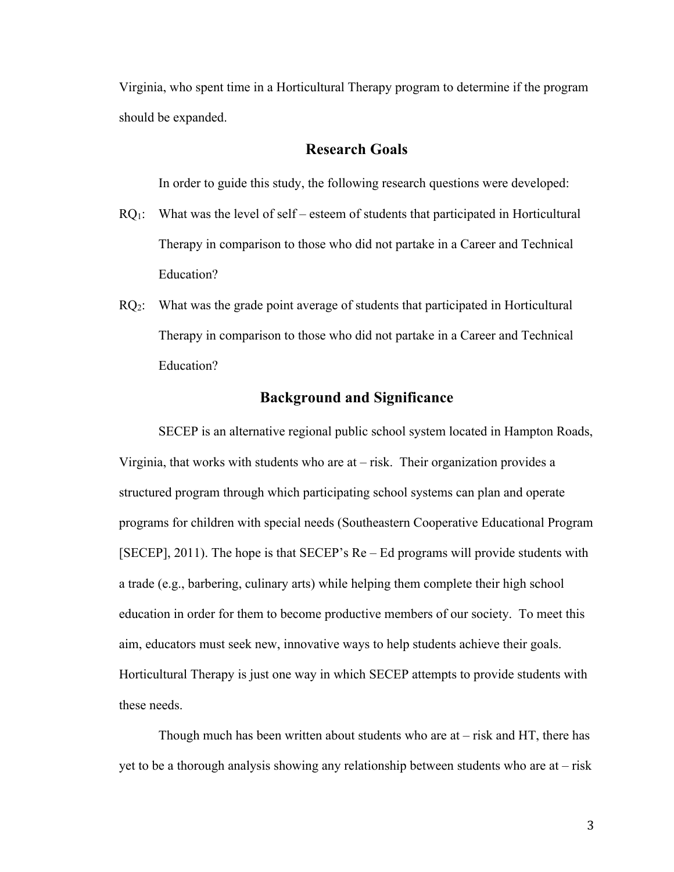Virginia, who spent time in a Horticultural Therapy program to determine if the program should be expanded.

#### **Research Goals**

In order to guide this study, the following research questions were developed:

- $RQ_1$ : What was the level of self esteem of students that participated in Horticultural Therapy in comparison to those who did not partake in a Career and Technical Education?
- $RQ<sub>2</sub>$ : What was the grade point average of students that participated in Horticultural Therapy in comparison to those who did not partake in a Career and Technical Education?

#### **Background and Significance**

SECEP is an alternative regional public school system located in Hampton Roads, Virginia, that works with students who are at – risk. Their organization provides a structured program through which participating school systems can plan and operate programs for children with special needs (Southeastern Cooperative Educational Program [SECEP], 2011). The hope is that SECEP's Re – Ed programs will provide students with a trade (e.g., barbering, culinary arts) while helping them complete their high school education in order for them to become productive members of our society. To meet this aim, educators must seek new, innovative ways to help students achieve their goals. Horticultural Therapy is just one way in which SECEP attempts to provide students with these needs.

Though much has been written about students who are at – risk and HT, there has yet to be a thorough analysis showing any relationship between students who are at – risk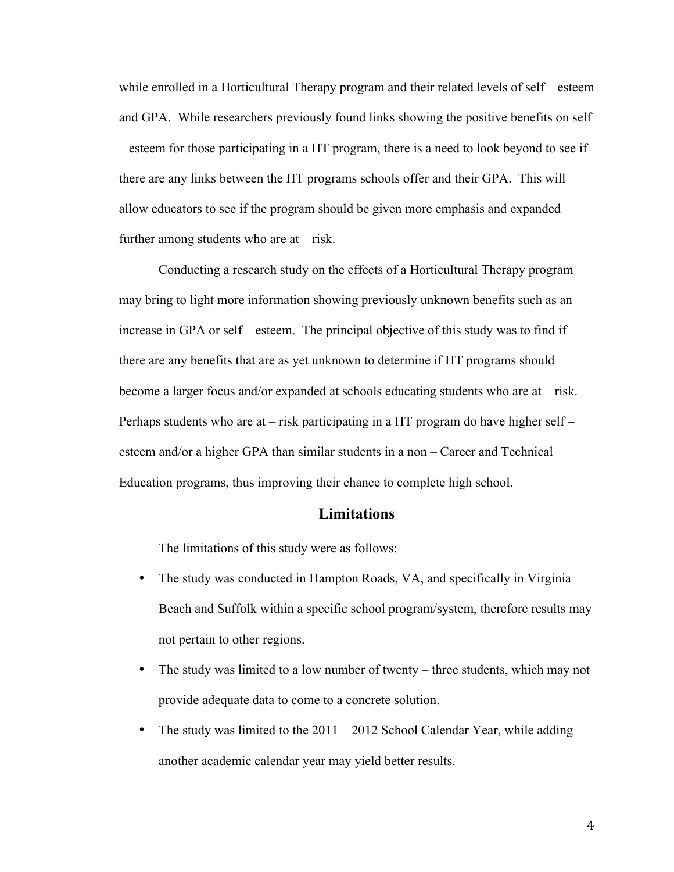while enrolled in a Horticultural Therapy program and their related levels of self – esteem and GPA. While researchers previously found links showing the positive benefits on self – esteem for those participating in a HT program, there is a need to look beyond to see if there are any links between the HT programs schools offer and their GPA. This will allow educators to see if the program should be given more emphasis and expanded further among students who are  $at - risk$ .

Conducting a research study on the effects of a Horticultural Therapy program may bring to light more information showing previously unknown benefits such as an increase in GPA or self – esteem. The principal objective of this study was to find if there are any benefits that are as yet unknown to determine if HT programs should become a larger focus and/or expanded at schools educating students who are at – risk. Perhaps students who are at – risk participating in a HT program do have higher self – esteem and/or a higher GPA than similar students in a non – Career and Technical Education programs, thus improving their chance to complete high school.

#### **Limitations**

The limitations of this study were as follows:

- The study was conducted in Hampton Roads, VA, and specifically in Virginia Beach and Suffolk within a specific school program/system, therefore results may not pertain to other regions.
- The study was limited to a low number of twenty three students, which may not provide adequate data to come to a concrete solution.
- The study was limited to the 2011 2012 School Calendar Year, while adding another academic calendar year may yield better results.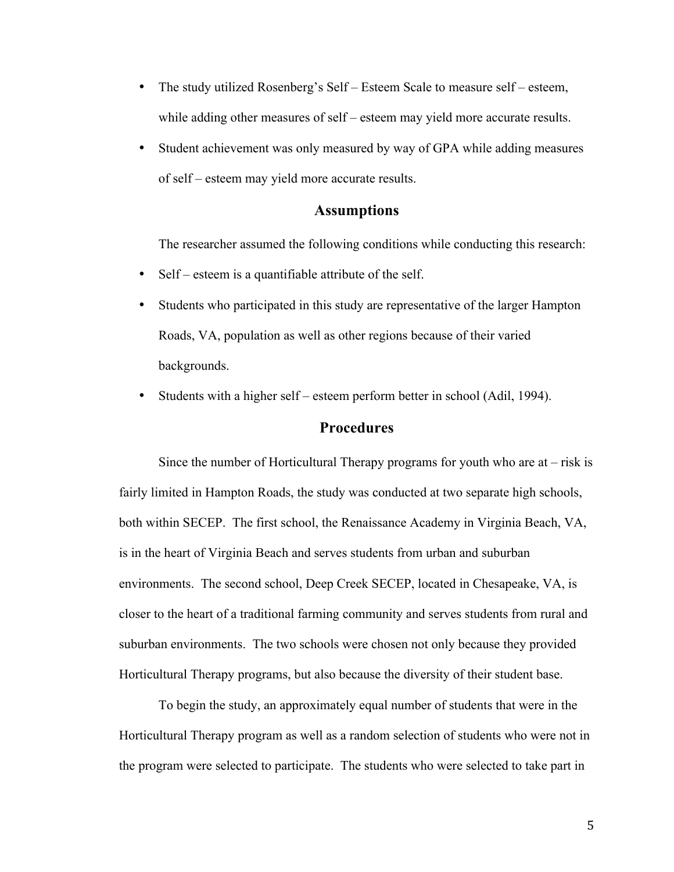- The study utilized Rosenberg's Self Esteem Scale to measure self esteem, while adding other measures of self – esteem may yield more accurate results.
- Student achievement was only measured by way of GPA while adding measures of self – esteem may yield more accurate results.

#### **Assumptions**

The researcher assumed the following conditions while conducting this research:

- Self esteem is a quantifiable attribute of the self.
- Students who participated in this study are representative of the larger Hampton Roads, VA, population as well as other regions because of their varied backgrounds.
- Students with a higher self esteem perform better in school (Adil, 1994).

#### **Procedures**

Since the number of Horticultural Therapy programs for youth who are at  $-$  risk is fairly limited in Hampton Roads, the study was conducted at two separate high schools, both within SECEP. The first school, the Renaissance Academy in Virginia Beach, VA, is in the heart of Virginia Beach and serves students from urban and suburban environments. The second school, Deep Creek SECEP, located in Chesapeake, VA, is closer to the heart of a traditional farming community and serves students from rural and suburban environments. The two schools were chosen not only because they provided Horticultural Therapy programs, but also because the diversity of their student base.

To begin the study, an approximately equal number of students that were in the Horticultural Therapy program as well as a random selection of students who were not in the program were selected to participate. The students who were selected to take part in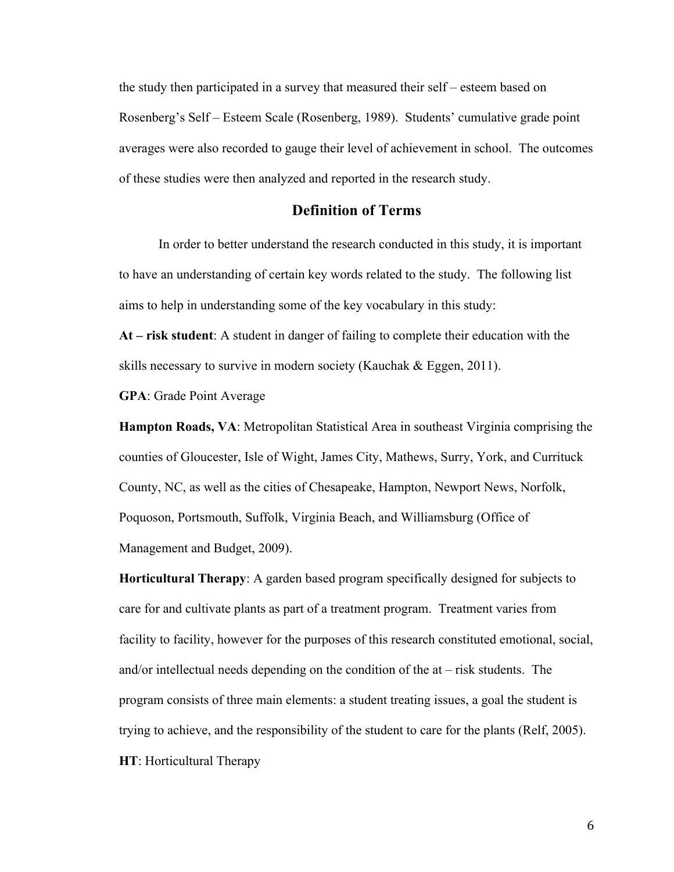the study then participated in a survey that measured their self – esteem based on Rosenberg's Self – Esteem Scale (Rosenberg, 1989). Students' cumulative grade point averages were also recorded to gauge their level of achievement in school. The outcomes of these studies were then analyzed and reported in the research study.

#### **Definition of Terms**

In order to better understand the research conducted in this study, it is important to have an understanding of certain key words related to the study. The following list aims to help in understanding some of the key vocabulary in this study:

**At – risk student**: A student in danger of failing to complete their education with the skills necessary to survive in modern society (Kauchak & Eggen, 2011).

**GPA**: Grade Point Average

**Hampton Roads, VA**: Metropolitan Statistical Area in southeast Virginia comprising the counties of Gloucester, Isle of Wight, James City, Mathews, Surry, York, and Currituck County, NC, as well as the cities of Chesapeake, Hampton, Newport News, Norfolk, Poquoson, Portsmouth, Suffolk, Virginia Beach, and Williamsburg (Office of Management and Budget, 2009).

**Horticultural Therapy**: A garden based program specifically designed for subjects to care for and cultivate plants as part of a treatment program. Treatment varies from facility to facility, however for the purposes of this research constituted emotional, social, and/or intellectual needs depending on the condition of the at – risk students. The program consists of three main elements: a student treating issues, a goal the student is trying to achieve, and the responsibility of the student to care for the plants (Relf, 2005). **HT**: Horticultural Therapy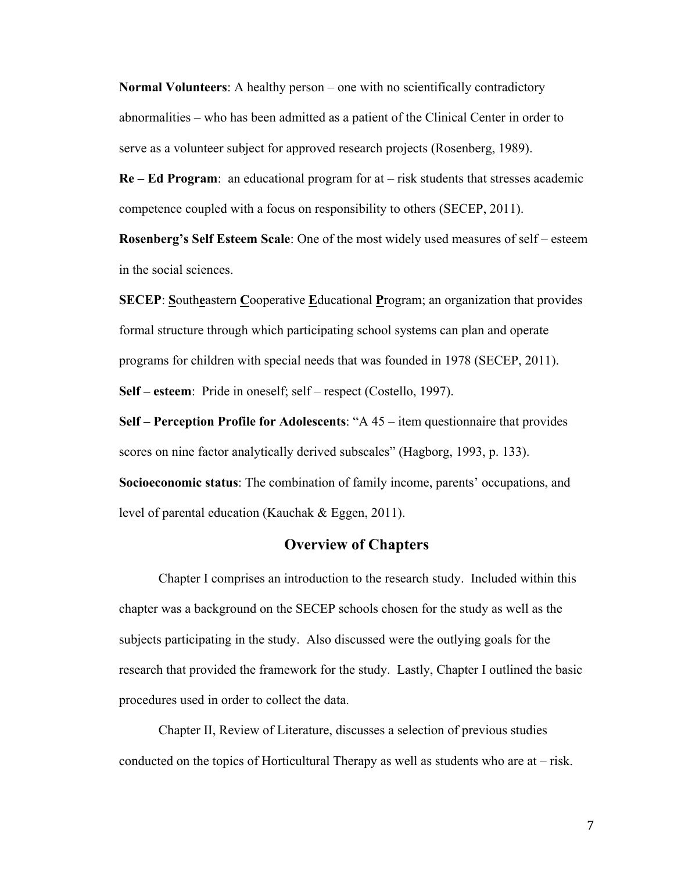**Normal Volunteers**: A healthy person – one with no scientifically contradictory abnormalities – who has been admitted as a patient of the Clinical Center in order to serve as a volunteer subject for approved research projects (Rosenberg, 1989).

**Re – Ed Program**: an educational program for at – risk students that stresses academic competence coupled with a focus on responsibility to others (SECEP, 2011).

**Rosenberg's Self Esteem Scale**: One of the most widely used measures of self – esteem in the social sciences.

**SECEP:** Southeastern Cooperative Educational Program; an organization that provides formal structure through which participating school systems can plan and operate programs for children with special needs that was founded in 1978 (SECEP, 2011). **Self – esteem**: Pride in oneself; self – respect (Costello, 1997).

**Self – Perception Profile for Adolescents**: "A 45 – item questionnaire that provides scores on nine factor analytically derived subscales" (Hagborg, 1993, p. 133). **Socioeconomic status**: The combination of family income, parents' occupations, and level of parental education (Kauchak & Eggen, 2011).

## **Overview of Chapters**

Chapter I comprises an introduction to the research study. Included within this chapter was a background on the SECEP schools chosen for the study as well as the subjects participating in the study. Also discussed were the outlying goals for the research that provided the framework for the study. Lastly, Chapter I outlined the basic procedures used in order to collect the data.

Chapter II, Review of Literature, discusses a selection of previous studies conducted on the topics of Horticultural Therapy as well as students who are at – risk.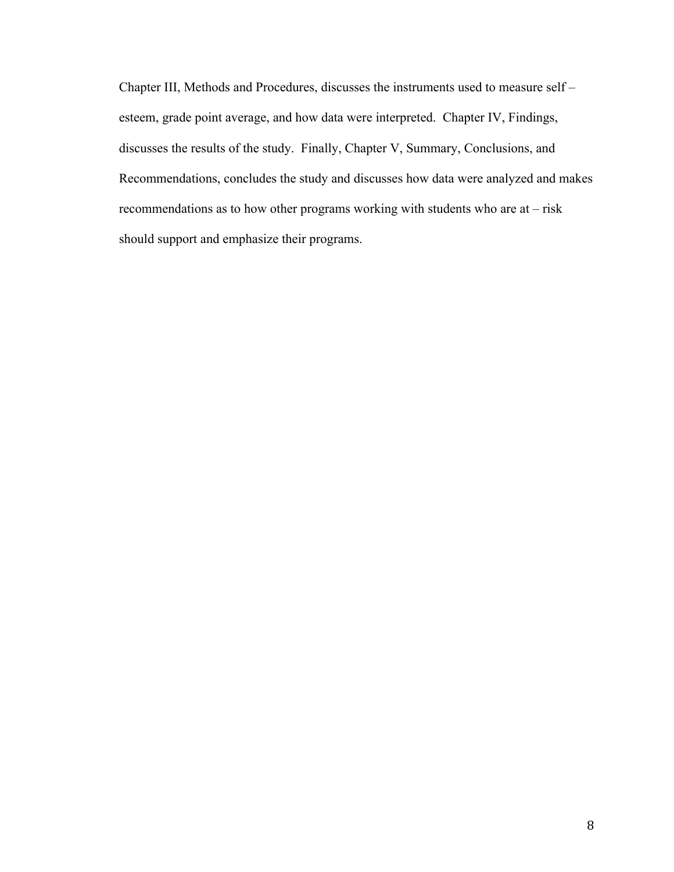Chapter III, Methods and Procedures, discusses the instruments used to measure self – esteem, grade point average, and how data were interpreted. Chapter IV, Findings, discusses the results of the study. Finally, Chapter V, Summary, Conclusions, and Recommendations, concludes the study and discusses how data were analyzed and makes recommendations as to how other programs working with students who are at – risk should support and emphasize their programs.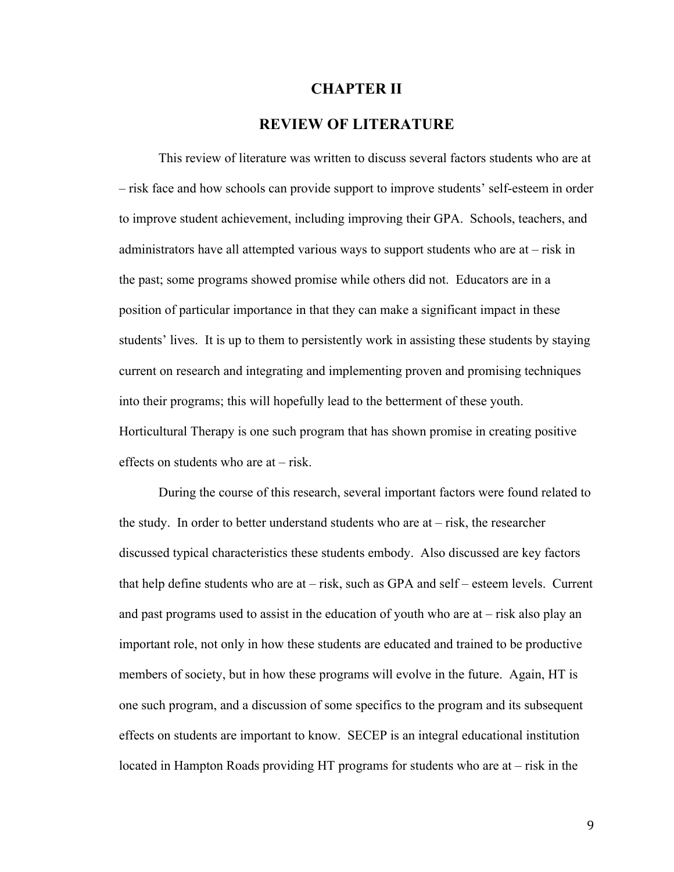#### **CHAPTER II**

### **REVIEW OF LITERATURE**

This review of literature was written to discuss several factors students who are at – risk face and how schools can provide support to improve students' self-esteem in order to improve student achievement, including improving their GPA. Schools, teachers, and administrators have all attempted various ways to support students who are at – risk in the past; some programs showed promise while others did not. Educators are in a position of particular importance in that they can make a significant impact in these students' lives. It is up to them to persistently work in assisting these students by staying current on research and integrating and implementing proven and promising techniques into their programs; this will hopefully lead to the betterment of these youth. Horticultural Therapy is one such program that has shown promise in creating positive effects on students who are at – risk.

During the course of this research, several important factors were found related to the study. In order to better understand students who are at – risk, the researcher discussed typical characteristics these students embody. Also discussed are key factors that help define students who are at – risk, such as GPA and self – esteem levels. Current and past programs used to assist in the education of youth who are at – risk also play an important role, not only in how these students are educated and trained to be productive members of society, but in how these programs will evolve in the future. Again, HT is one such program, and a discussion of some specifics to the program and its subsequent effects on students are important to know. SECEP is an integral educational institution located in Hampton Roads providing HT programs for students who are at – risk in the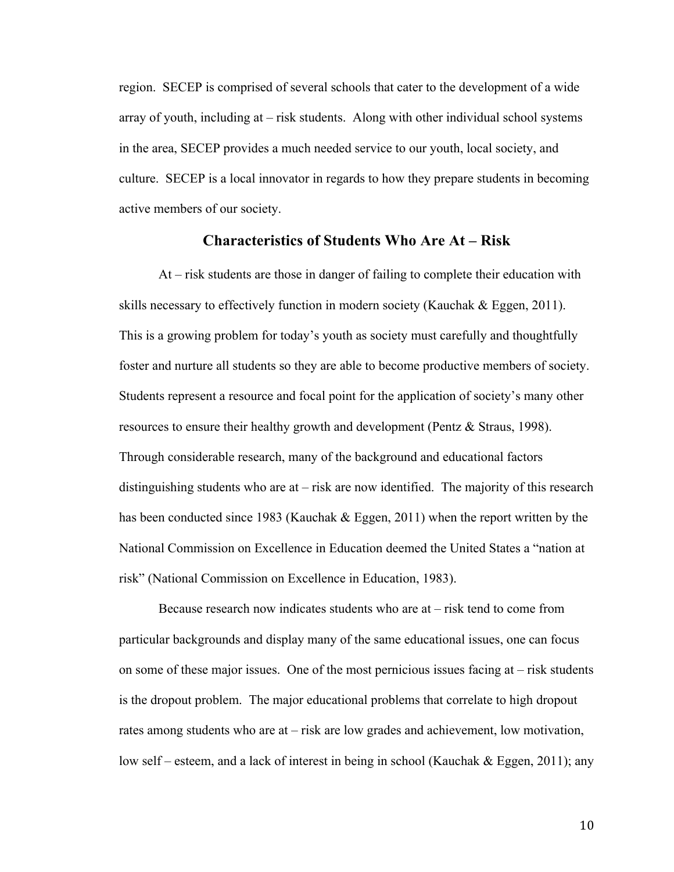region. SECEP is comprised of several schools that cater to the development of a wide array of youth, including at – risk students. Along with other individual school systems in the area, SECEP provides a much needed service to our youth, local society, and culture. SECEP is a local innovator in regards to how they prepare students in becoming active members of our society.

# **Characteristics of Students Who Are At – Risk**

At – risk students are those in danger of failing to complete their education with skills necessary to effectively function in modern society (Kauchak  $\&$  Eggen, 2011). This is a growing problem for today's youth as society must carefully and thoughtfully foster and nurture all students so they are able to become productive members of society. Students represent a resource and focal point for the application of society's many other resources to ensure their healthy growth and development (Pentz & Straus, 1998). Through considerable research, many of the background and educational factors distinguishing students who are at – risk are now identified. The majority of this research has been conducted since 1983 (Kauchak & Eggen, 2011) when the report written by the National Commission on Excellence in Education deemed the United States a "nation at risk" (National Commission on Excellence in Education, 1983).

Because research now indicates students who are at – risk tend to come from particular backgrounds and display many of the same educational issues, one can focus on some of these major issues. One of the most pernicious issues facing at – risk students is the dropout problem. The major educational problems that correlate to high dropout rates among students who are at – risk are low grades and achievement, low motivation, low self – esteem, and a lack of interest in being in school (Kauchak & Eggen, 2011); any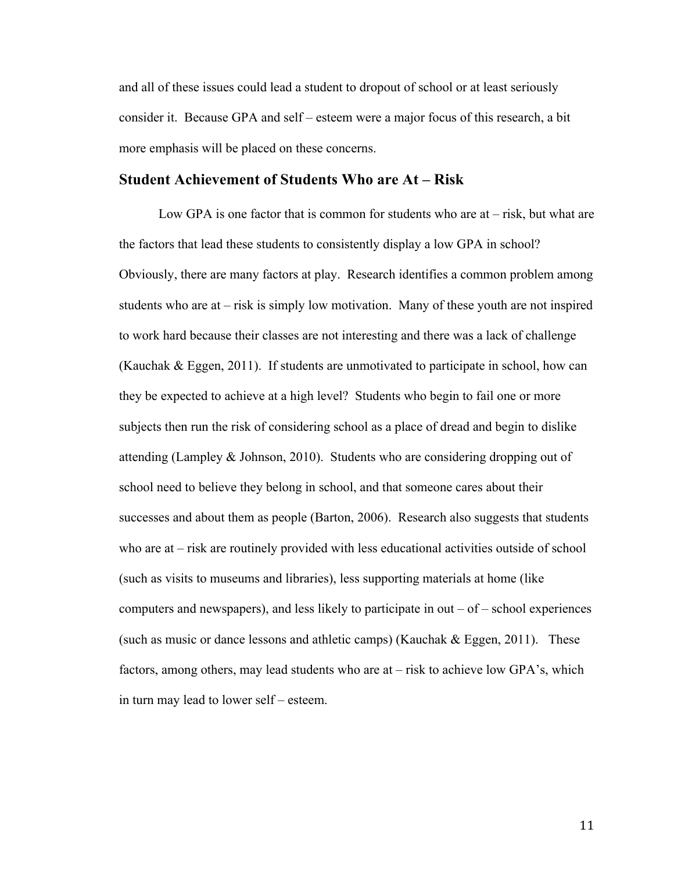and all of these issues could lead a student to dropout of school or at least seriously consider it. Because GPA and self – esteem were a major focus of this research, a bit more emphasis will be placed on these concerns.

#### **Student Achievement of Students Who are At – Risk**

Low GPA is one factor that is common for students who are  $at - risk$ , but what are the factors that lead these students to consistently display a low GPA in school? Obviously, there are many factors at play. Research identifies a common problem among students who are at – risk is simply low motivation. Many of these youth are not inspired to work hard because their classes are not interesting and there was a lack of challenge (Kauchak & Eggen, 2011). If students are unmotivated to participate in school, how can they be expected to achieve at a high level? Students who begin to fail one or more subjects then run the risk of considering school as a place of dread and begin to dislike attending (Lampley & Johnson, 2010). Students who are considering dropping out of school need to believe they belong in school, and that someone cares about their successes and about them as people (Barton, 2006). Research also suggests that students who are at – risk are routinely provided with less educational activities outside of school (such as visits to museums and libraries), less supporting materials at home (like computers and newspapers), and less likely to participate in out  $-$  of  $-$  school experiences (such as music or dance lessons and athletic camps) (Kauchak  $\&$  Eggen, 2011). These factors, among others, may lead students who are at – risk to achieve low GPA's, which in turn may lead to lower self – esteem.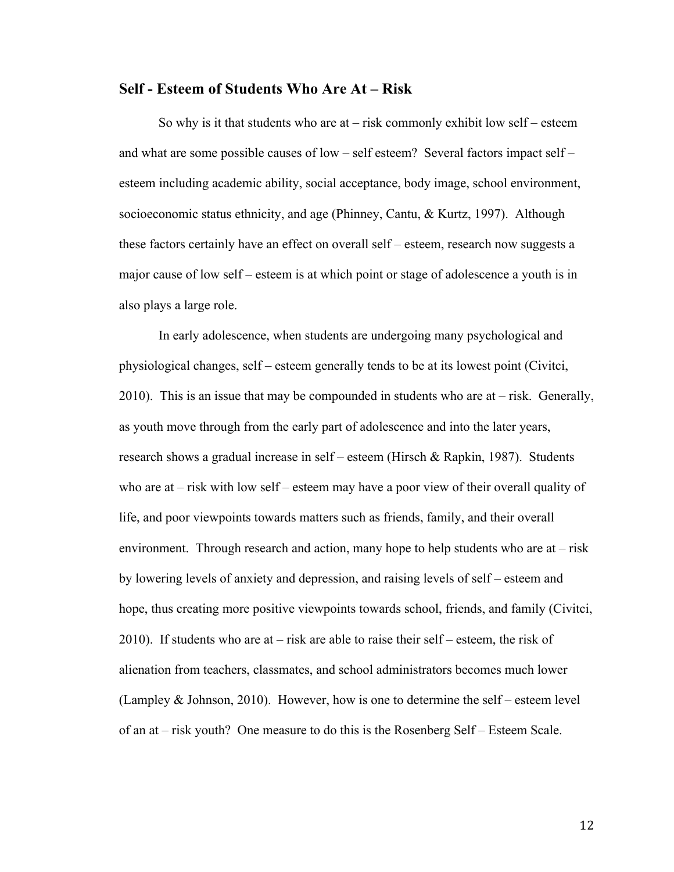#### **Self - Esteem of Students Who Are At – Risk**

So why is it that students who are  $at - risk$  commonly exhibit low self – esteem and what are some possible causes of low – self esteem? Several factors impact self – esteem including academic ability, social acceptance, body image, school environment, socioeconomic status ethnicity, and age (Phinney, Cantu, & Kurtz, 1997). Although these factors certainly have an effect on overall self – esteem, research now suggests a major cause of low self – esteem is at which point or stage of adolescence a youth is in also plays a large role.

In early adolescence, when students are undergoing many psychological and physiological changes, self – esteem generally tends to be at its lowest point (Civitci, 2010). This is an issue that may be compounded in students who are at  $-$  risk. Generally, as youth move through from the early part of adolescence and into the later years, research shows a gradual increase in self – esteem (Hirsch & Rapkin, 1987). Students who are at – risk with low self – esteem may have a poor view of their overall quality of life, and poor viewpoints towards matters such as friends, family, and their overall environment. Through research and action, many hope to help students who are at  $-$  risk by lowering levels of anxiety and depression, and raising levels of self – esteem and hope, thus creating more positive viewpoints towards school, friends, and family (Civitci, 2010). If students who are at – risk are able to raise their self – esteem, the risk of alienation from teachers, classmates, and school administrators becomes much lower (Lampley & Johnson, 2010). However, how is one to determine the self – esteem level of an at – risk youth? One measure to do this is the Rosenberg Self – Esteem Scale.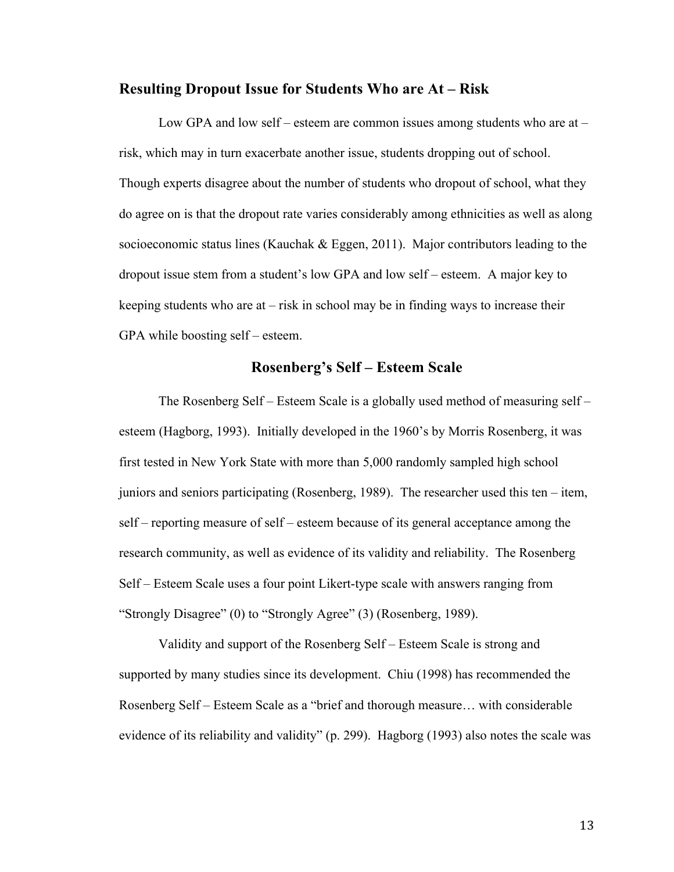#### **Resulting Dropout Issue for Students Who are At – Risk**

Low GPA and low self – esteem are common issues among students who are at – risk, which may in turn exacerbate another issue, students dropping out of school. Though experts disagree about the number of students who dropout of school, what they do agree on is that the dropout rate varies considerably among ethnicities as well as along socioeconomic status lines (Kauchak  $\&$  Eggen, 2011). Major contributors leading to the dropout issue stem from a student's low GPA and low self – esteem. A major key to keeping students who are at – risk in school may be in finding ways to increase their GPA while boosting self – esteem.

# **Rosenberg's Self – Esteem Scale**

The Rosenberg Self – Esteem Scale is a globally used method of measuring self – esteem (Hagborg, 1993). Initially developed in the 1960's by Morris Rosenberg, it was first tested in New York State with more than 5,000 randomly sampled high school juniors and seniors participating (Rosenberg, 1989). The researcher used this ten – item, self – reporting measure of self – esteem because of its general acceptance among the research community, as well as evidence of its validity and reliability. The Rosenberg Self – Esteem Scale uses a four point Likert-type scale with answers ranging from "Strongly Disagree" (0) to "Strongly Agree" (3) (Rosenberg, 1989).

Validity and support of the Rosenberg Self – Esteem Scale is strong and supported by many studies since its development. Chiu (1998) has recommended the Rosenberg Self – Esteem Scale as a "brief and thorough measure… with considerable evidence of its reliability and validity" (p. 299). Hagborg (1993) also notes the scale was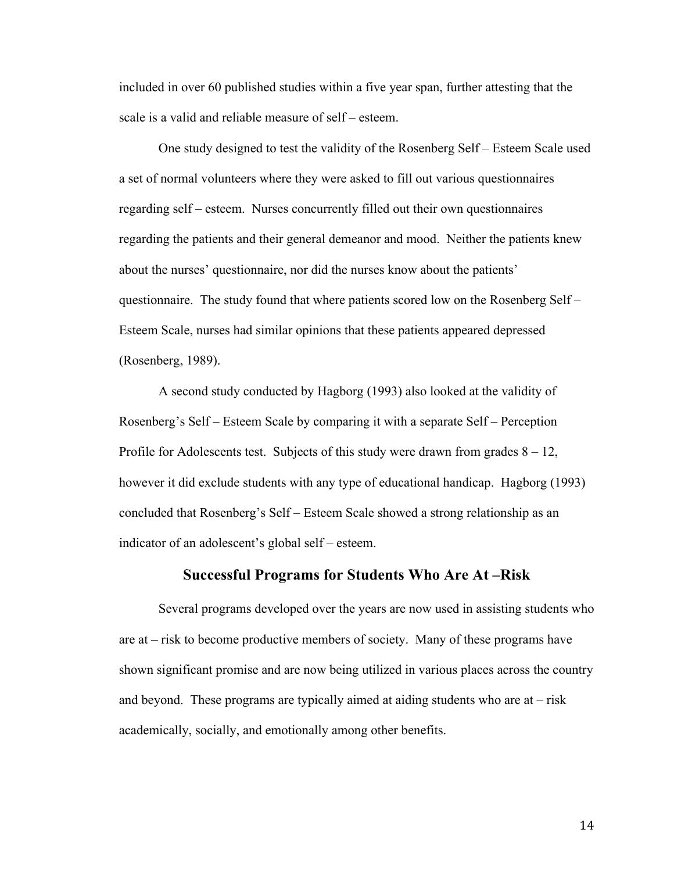included in over 60 published studies within a five year span, further attesting that the scale is a valid and reliable measure of self – esteem.

One study designed to test the validity of the Rosenberg Self – Esteem Scale used a set of normal volunteers where they were asked to fill out various questionnaires regarding self – esteem. Nurses concurrently filled out their own questionnaires regarding the patients and their general demeanor and mood. Neither the patients knew about the nurses' questionnaire, nor did the nurses know about the patients' questionnaire. The study found that where patients scored low on the Rosenberg Self – Esteem Scale, nurses had similar opinions that these patients appeared depressed (Rosenberg, 1989).

A second study conducted by Hagborg (1993) also looked at the validity of Rosenberg's Self – Esteem Scale by comparing it with a separate Self – Perception Profile for Adolescents test. Subjects of this study were drawn from grades  $8 - 12$ , however it did exclude students with any type of educational handicap. Hagborg (1993) concluded that Rosenberg's Self – Esteem Scale showed a strong relationship as an indicator of an adolescent's global self – esteem.

#### **Successful Programs for Students Who Are At –Risk**

Several programs developed over the years are now used in assisting students who are at – risk to become productive members of society. Many of these programs have shown significant promise and are now being utilized in various places across the country and beyond. These programs are typically aimed at aiding students who are at  $-$  risk academically, socially, and emotionally among other benefits.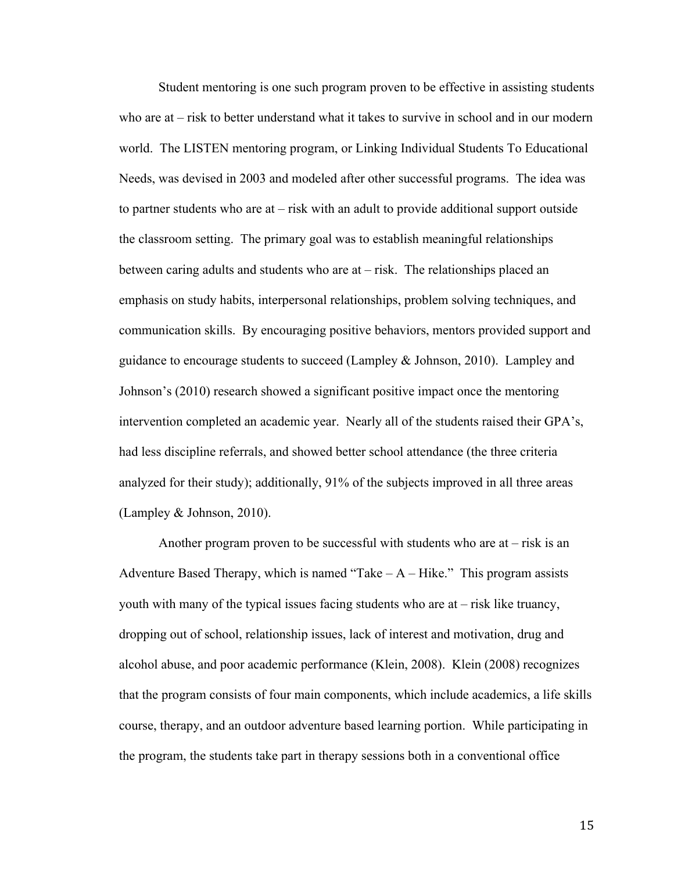Student mentoring is one such program proven to be effective in assisting students who are at – risk to better understand what it takes to survive in school and in our modern world. The LISTEN mentoring program, or Linking Individual Students To Educational Needs, was devised in 2003 and modeled after other successful programs. The idea was to partner students who are at – risk with an adult to provide additional support outside the classroom setting. The primary goal was to establish meaningful relationships between caring adults and students who are at – risk. The relationships placed an emphasis on study habits, interpersonal relationships, problem solving techniques, and communication skills. By encouraging positive behaviors, mentors provided support and guidance to encourage students to succeed (Lampley & Johnson, 2010). Lampley and Johnson's (2010) research showed a significant positive impact once the mentoring intervention completed an academic year. Nearly all of the students raised their GPA's, had less discipline referrals, and showed better school attendance (the three criteria analyzed for their study); additionally, 91% of the subjects improved in all three areas (Lampley & Johnson, 2010).

Another program proven to be successful with students who are at  $-$  risk is an Adventure Based Therapy, which is named "Take  $-A$  – Hike." This program assists youth with many of the typical issues facing students who are at – risk like truancy, dropping out of school, relationship issues, lack of interest and motivation, drug and alcohol abuse, and poor academic performance (Klein, 2008). Klein (2008) recognizes that the program consists of four main components, which include academics, a life skills course, therapy, and an outdoor adventure based learning portion. While participating in the program, the students take part in therapy sessions both in a conventional office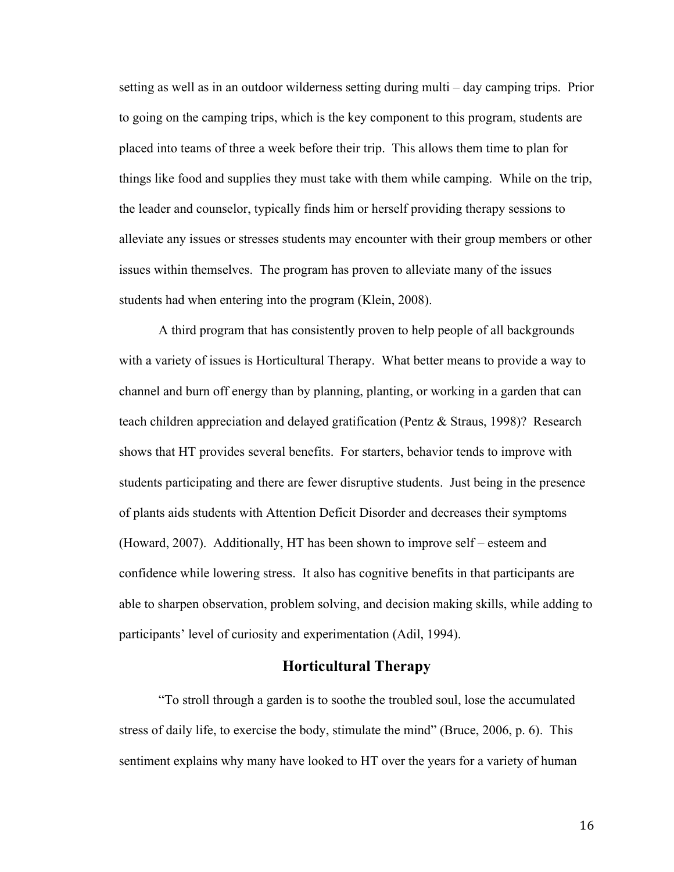setting as well as in an outdoor wilderness setting during multi – day camping trips. Prior to going on the camping trips, which is the key component to this program, students are placed into teams of three a week before their trip. This allows them time to plan for things like food and supplies they must take with them while camping. While on the trip, the leader and counselor, typically finds him or herself providing therapy sessions to alleviate any issues or stresses students may encounter with their group members or other issues within themselves. The program has proven to alleviate many of the issues students had when entering into the program (Klein, 2008).

A third program that has consistently proven to help people of all backgrounds with a variety of issues is Horticultural Therapy. What better means to provide a way to channel and burn off energy than by planning, planting, or working in a garden that can teach children appreciation and delayed gratification (Pentz & Straus, 1998)? Research shows that HT provides several benefits. For starters, behavior tends to improve with students participating and there are fewer disruptive students. Just being in the presence of plants aids students with Attention Deficit Disorder and decreases their symptoms (Howard, 2007). Additionally, HT has been shown to improve self – esteem and confidence while lowering stress. It also has cognitive benefits in that participants are able to sharpen observation, problem solving, and decision making skills, while adding to participants' level of curiosity and experimentation (Adil, 1994).

### **Horticultural Therapy**

"To stroll through a garden is to soothe the troubled soul, lose the accumulated stress of daily life, to exercise the body, stimulate the mind" (Bruce, 2006, p. 6). This sentiment explains why many have looked to HT over the years for a variety of human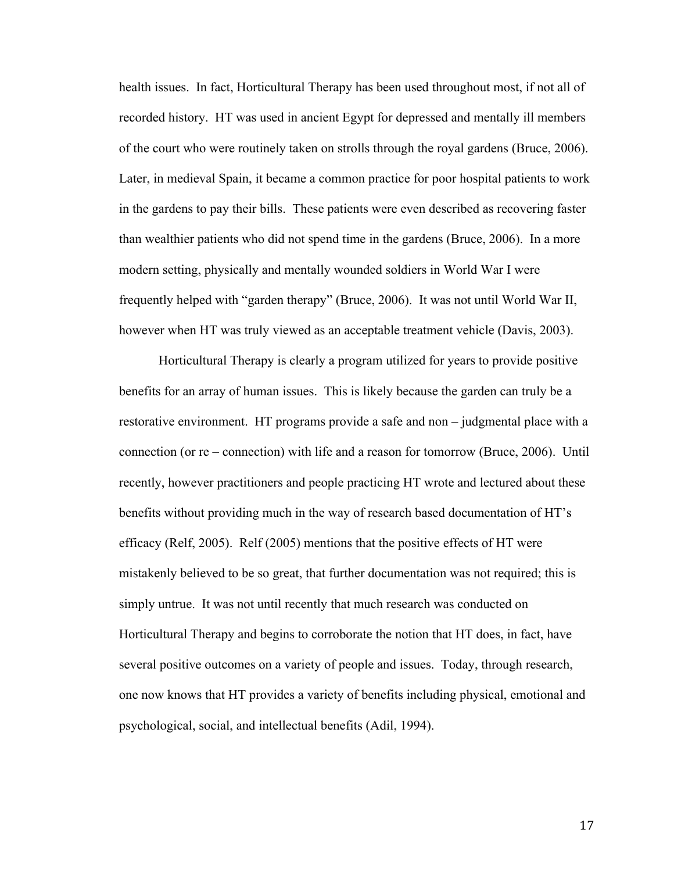health issues. In fact, Horticultural Therapy has been used throughout most, if not all of recorded history. HT was used in ancient Egypt for depressed and mentally ill members of the court who were routinely taken on strolls through the royal gardens (Bruce, 2006). Later, in medieval Spain, it became a common practice for poor hospital patients to work in the gardens to pay their bills. These patients were even described as recovering faster than wealthier patients who did not spend time in the gardens (Bruce, 2006). In a more modern setting, physically and mentally wounded soldiers in World War I were frequently helped with "garden therapy" (Bruce, 2006). It was not until World War II, however when HT was truly viewed as an acceptable treatment vehicle (Davis, 2003).

Horticultural Therapy is clearly a program utilized for years to provide positive benefits for an array of human issues. This is likely because the garden can truly be a restorative environment. HT programs provide a safe and non – judgmental place with a connection (or re – connection) with life and a reason for tomorrow (Bruce, 2006). Until recently, however practitioners and people practicing HT wrote and lectured about these benefits without providing much in the way of research based documentation of HT's efficacy (Relf, 2005). Relf (2005) mentions that the positive effects of HT were mistakenly believed to be so great, that further documentation was not required; this is simply untrue. It was not until recently that much research was conducted on Horticultural Therapy and begins to corroborate the notion that HT does, in fact, have several positive outcomes on a variety of people and issues. Today, through research, one now knows that HT provides a variety of benefits including physical, emotional and psychological, social, and intellectual benefits (Adil, 1994).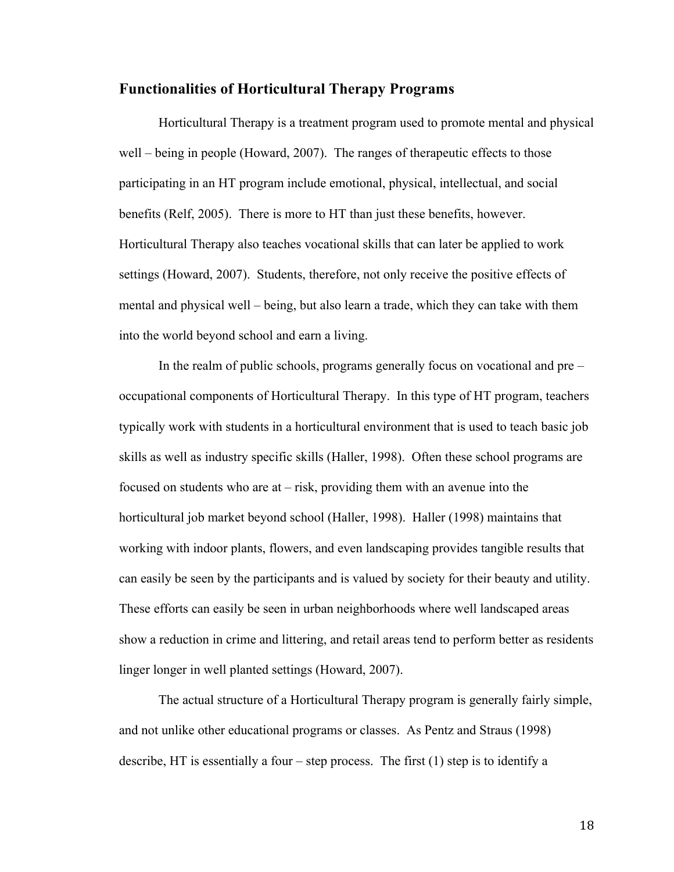#### **Functionalities of Horticultural Therapy Programs**

Horticultural Therapy is a treatment program used to promote mental and physical well – being in people (Howard, 2007). The ranges of therapeutic effects to those participating in an HT program include emotional, physical, intellectual, and social benefits (Relf, 2005). There is more to HT than just these benefits, however. Horticultural Therapy also teaches vocational skills that can later be applied to work settings (Howard, 2007). Students, therefore, not only receive the positive effects of mental and physical well – being, but also learn a trade, which they can take with them into the world beyond school and earn a living.

In the realm of public schools, programs generally focus on vocational and pre – occupational components of Horticultural Therapy. In this type of HT program, teachers typically work with students in a horticultural environment that is used to teach basic job skills as well as industry specific skills (Haller, 1998). Often these school programs are focused on students who are at – risk, providing them with an avenue into the horticultural job market beyond school (Haller, 1998). Haller (1998) maintains that working with indoor plants, flowers, and even landscaping provides tangible results that can easily be seen by the participants and is valued by society for their beauty and utility. These efforts can easily be seen in urban neighborhoods where well landscaped areas show a reduction in crime and littering, and retail areas tend to perform better as residents linger longer in well planted settings (Howard, 2007).

The actual structure of a Horticultural Therapy program is generally fairly simple, and not unlike other educational programs or classes. As Pentz and Straus (1998) describe, HT is essentially a four – step process. The first (1) step is to identify a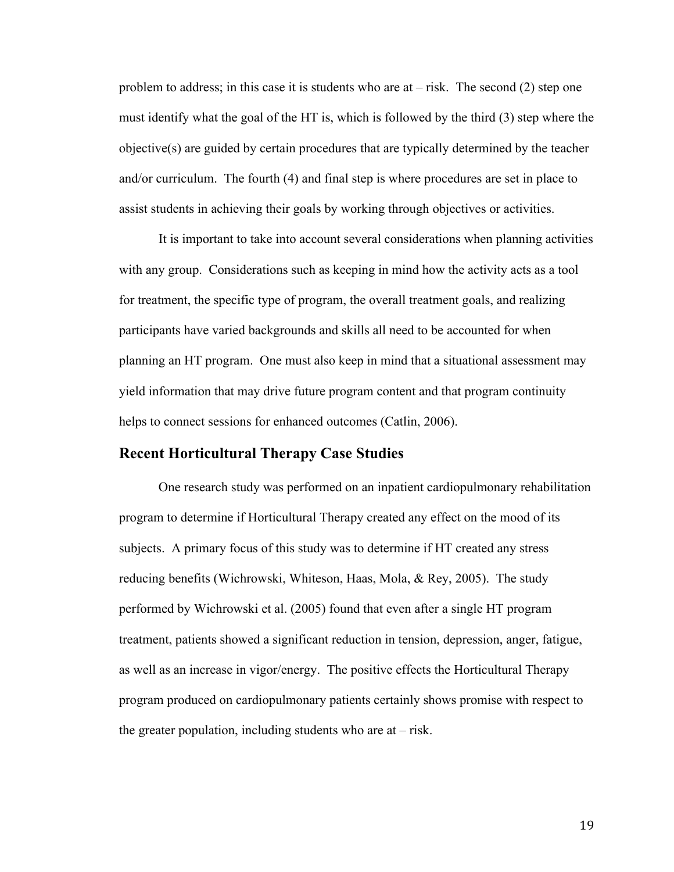problem to address; in this case it is students who are at  $-$  risk. The second (2) step one must identify what the goal of the HT is, which is followed by the third (3) step where the objective(s) are guided by certain procedures that are typically determined by the teacher and/or curriculum. The fourth (4) and final step is where procedures are set in place to assist students in achieving their goals by working through objectives or activities.

It is important to take into account several considerations when planning activities with any group. Considerations such as keeping in mind how the activity acts as a tool for treatment, the specific type of program, the overall treatment goals, and realizing participants have varied backgrounds and skills all need to be accounted for when planning an HT program. One must also keep in mind that a situational assessment may yield information that may drive future program content and that program continuity helps to connect sessions for enhanced outcomes (Catlin, 2006).

#### **Recent Horticultural Therapy Case Studies**

One research study was performed on an inpatient cardiopulmonary rehabilitation program to determine if Horticultural Therapy created any effect on the mood of its subjects. A primary focus of this study was to determine if HT created any stress reducing benefits (Wichrowski, Whiteson, Haas, Mola, & Rey, 2005). The study performed by Wichrowski et al. (2005) found that even after a single HT program treatment, patients showed a significant reduction in tension, depression, anger, fatigue, as well as an increase in vigor/energy. The positive effects the Horticultural Therapy program produced on cardiopulmonary patients certainly shows promise with respect to the greater population, including students who are  $at - risk$ .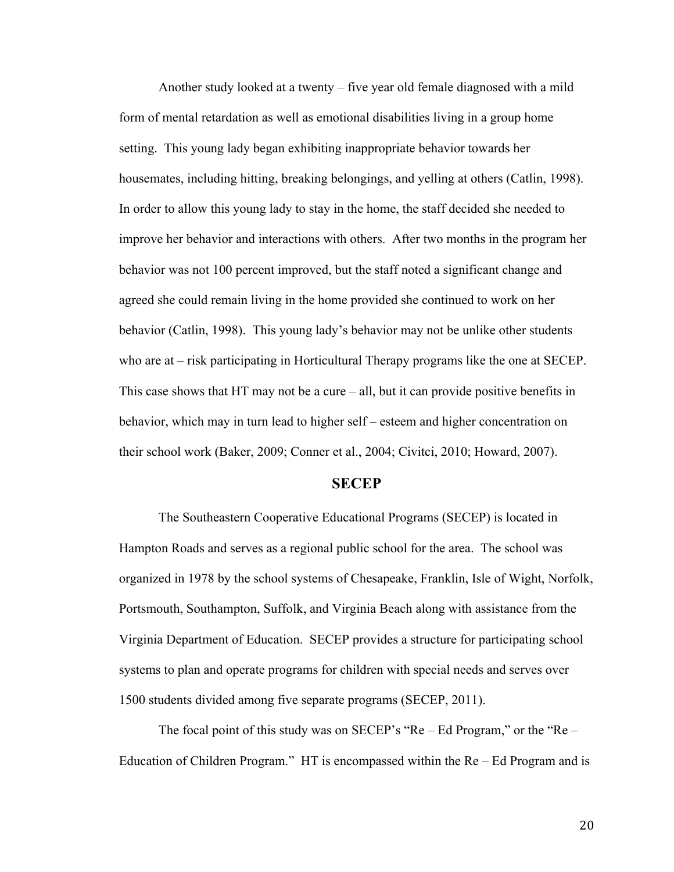Another study looked at a twenty – five year old female diagnosed with a mild form of mental retardation as well as emotional disabilities living in a group home setting. This young lady began exhibiting inappropriate behavior towards her housemates, including hitting, breaking belongings, and yelling at others (Catlin, 1998). In order to allow this young lady to stay in the home, the staff decided she needed to improve her behavior and interactions with others. After two months in the program her behavior was not 100 percent improved, but the staff noted a significant change and agreed she could remain living in the home provided she continued to work on her behavior (Catlin, 1998). This young lady's behavior may not be unlike other students who are at – risk participating in Horticultural Therapy programs like the one at SECEP. This case shows that  $HT$  may not be a cure – all, but it can provide positive benefits in behavior, which may in turn lead to higher self – esteem and higher concentration on their school work (Baker, 2009; Conner et al., 2004; Civitci, 2010; Howard, 2007).

#### **SECEP**

The Southeastern Cooperative Educational Programs (SECEP) is located in Hampton Roads and serves as a regional public school for the area. The school was organized in 1978 by the school systems of Chesapeake, Franklin, Isle of Wight, Norfolk, Portsmouth, Southampton, Suffolk, and Virginia Beach along with assistance from the Virginia Department of Education. SECEP provides a structure for participating school systems to plan and operate programs for children with special needs and serves over 1500 students divided among five separate programs (SECEP, 2011).

The focal point of this study was on SECEP's "Re – Ed Program," or the "Re – Education of Children Program." HT is encompassed within the Re – Ed Program and is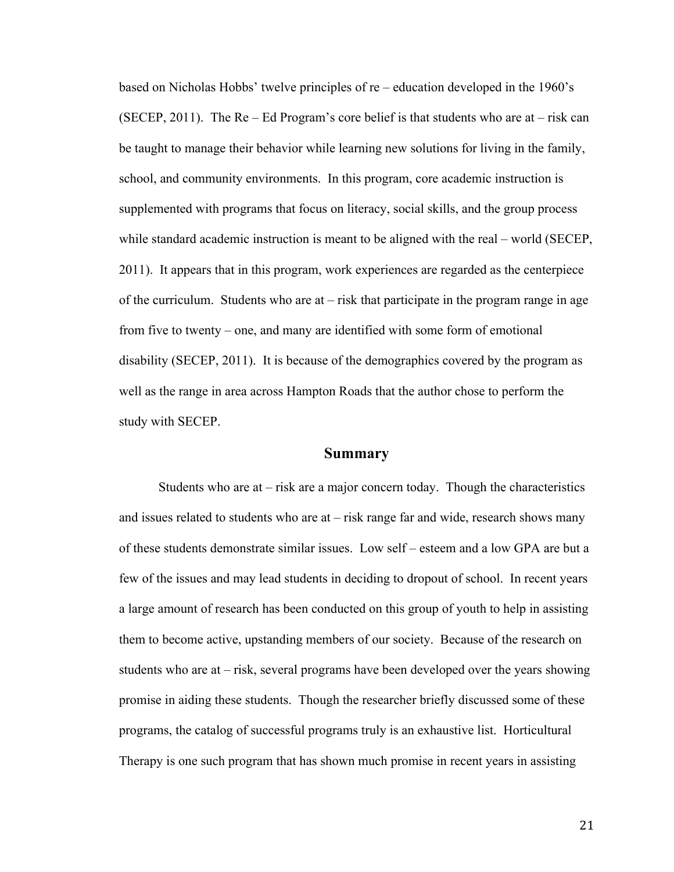based on Nicholas Hobbs' twelve principles of re – education developed in the 1960's (SECEP, 2011). The Re – Ed Program's core belief is that students who are at – risk can be taught to manage their behavior while learning new solutions for living in the family, school, and community environments. In this program, core academic instruction is supplemented with programs that focus on literacy, social skills, and the group process while standard academic instruction is meant to be aligned with the real – world (SECEP, 2011). It appears that in this program, work experiences are regarded as the centerpiece of the curriculum. Students who are at – risk that participate in the program range in age from five to twenty – one, and many are identified with some form of emotional disability (SECEP, 2011). It is because of the demographics covered by the program as well as the range in area across Hampton Roads that the author chose to perform the study with SECEP.

#### **Summary**

Students who are at – risk are a major concern today. Though the characteristics and issues related to students who are at – risk range far and wide, research shows many of these students demonstrate similar issues. Low self – esteem and a low GPA are but a few of the issues and may lead students in deciding to dropout of school. In recent years a large amount of research has been conducted on this group of youth to help in assisting them to become active, upstanding members of our society. Because of the research on students who are at – risk, several programs have been developed over the years showing promise in aiding these students. Though the researcher briefly discussed some of these programs, the catalog of successful programs truly is an exhaustive list. Horticultural Therapy is one such program that has shown much promise in recent years in assisting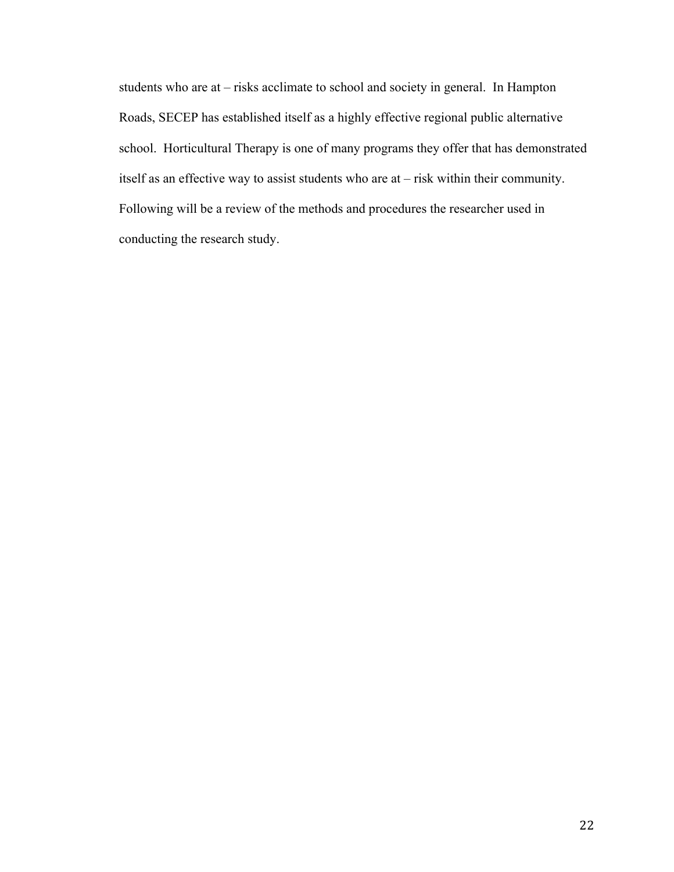students who are at – risks acclimate to school and society in general. In Hampton Roads, SECEP has established itself as a highly effective regional public alternative school. Horticultural Therapy is one of many programs they offer that has demonstrated itself as an effective way to assist students who are at – risk within their community. Following will be a review of the methods and procedures the researcher used in conducting the research study.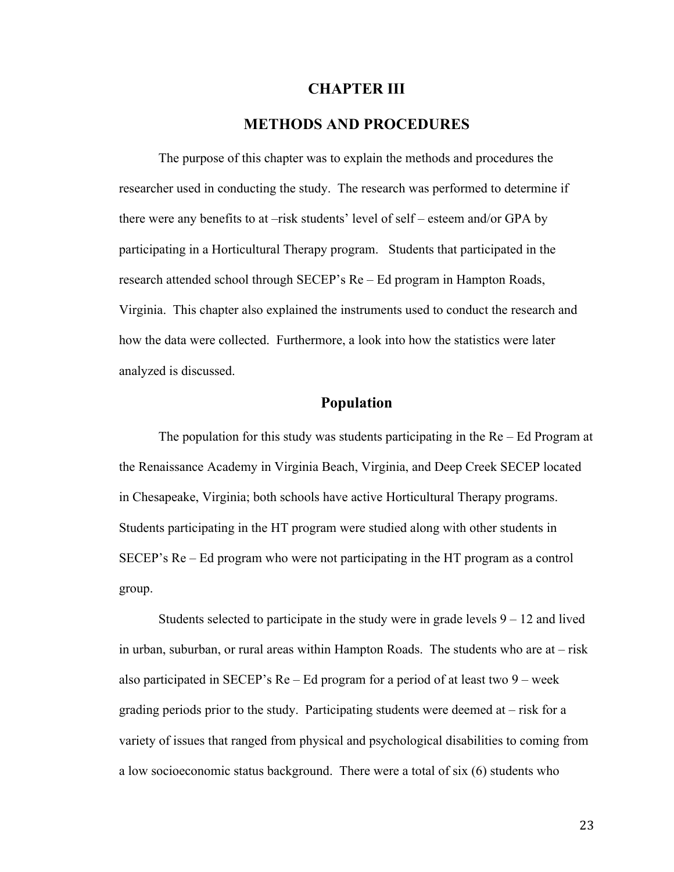#### **CHAPTER III**

### **METHODS AND PROCEDURES**

The purpose of this chapter was to explain the methods and procedures the researcher used in conducting the study. The research was performed to determine if there were any benefits to at –risk students' level of self – esteem and/or GPA by participating in a Horticultural Therapy program. Students that participated in the research attended school through SECEP's Re – Ed program in Hampton Roads, Virginia. This chapter also explained the instruments used to conduct the research and how the data were collected. Furthermore, a look into how the statistics were later analyzed is discussed.

# **Population**

The population for this study was students participating in the Re – Ed Program at the Renaissance Academy in Virginia Beach, Virginia, and Deep Creek SECEP located in Chesapeake, Virginia; both schools have active Horticultural Therapy programs. Students participating in the HT program were studied along with other students in SECEP's Re – Ed program who were not participating in the HT program as a control group.

Students selected to participate in the study were in grade levels  $9 - 12$  and lived in urban, suburban, or rural areas within Hampton Roads. The students who are at – risk also participated in SECEP's  $Re - Ed$  program for a period of at least two 9 – week grading periods prior to the study. Participating students were deemed at – risk for a variety of issues that ranged from physical and psychological disabilities to coming from a low socioeconomic status background. There were a total of six (6) students who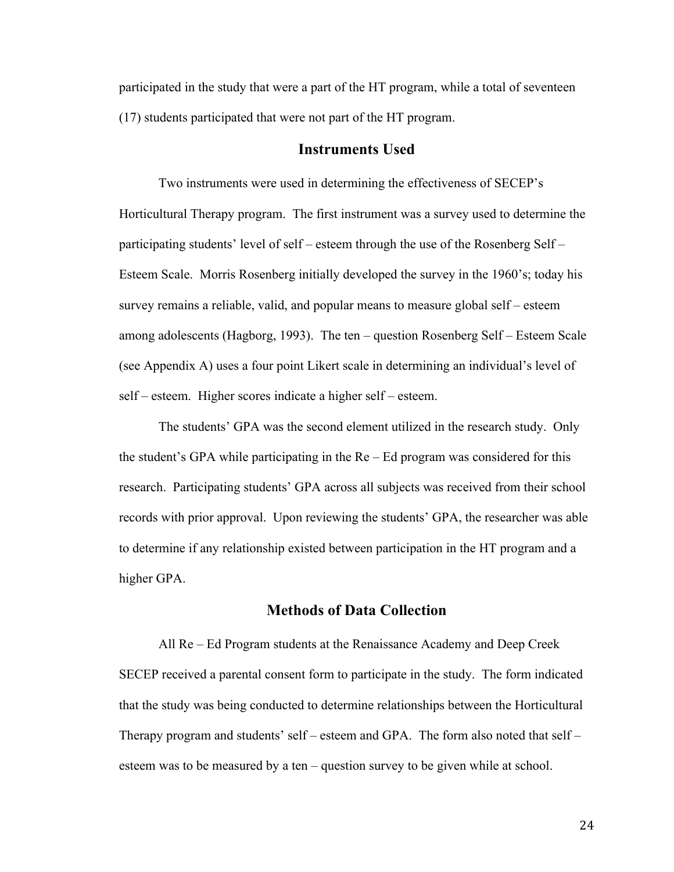participated in the study that were a part of the HT program, while a total of seventeen (17) students participated that were not part of the HT program.

#### **Instruments Used**

Two instruments were used in determining the effectiveness of SECEP's Horticultural Therapy program. The first instrument was a survey used to determine the participating students' level of self – esteem through the use of the Rosenberg Self – Esteem Scale. Morris Rosenberg initially developed the survey in the 1960's; today his survey remains a reliable, valid, and popular means to measure global self – esteem among adolescents (Hagborg, 1993). The ten – question Rosenberg Self – Esteem Scale (see Appendix A) uses a four point Likert scale in determining an individual's level of self – esteem. Higher scores indicate a higher self – esteem.

The students' GPA was the second element utilized in the research study. Only the student's GPA while participating in the Re – Ed program was considered for this research. Participating students' GPA across all subjects was received from their school records with prior approval. Upon reviewing the students' GPA, the researcher was able to determine if any relationship existed between participation in the HT program and a higher GPA.

#### **Methods of Data Collection**

All Re – Ed Program students at the Renaissance Academy and Deep Creek SECEP received a parental consent form to participate in the study. The form indicated that the study was being conducted to determine relationships between the Horticultural Therapy program and students' self – esteem and GPA. The form also noted that self – esteem was to be measured by a ten – question survey to be given while at school.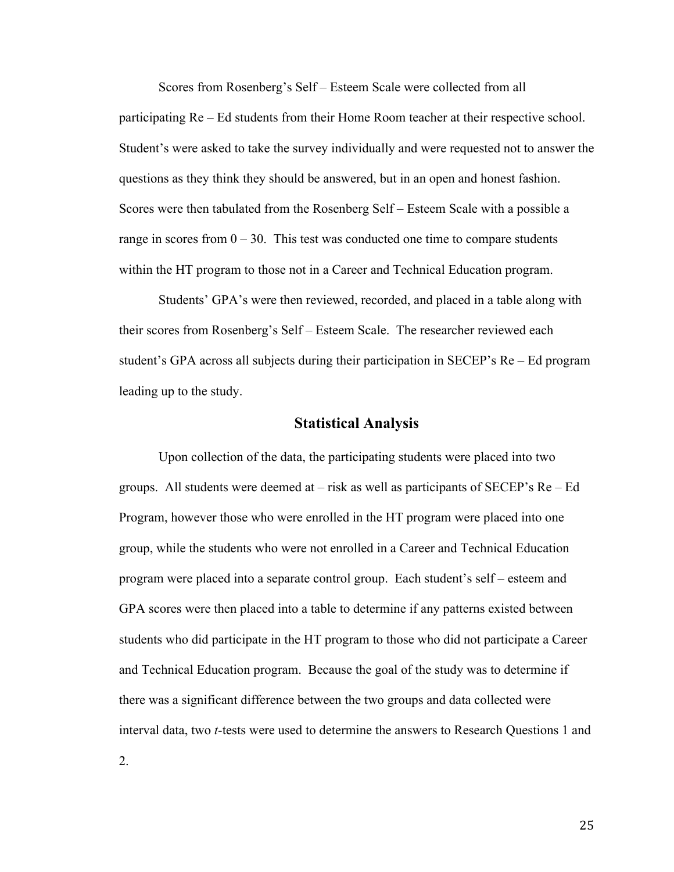Scores from Rosenberg's Self – Esteem Scale were collected from all participating Re – Ed students from their Home Room teacher at their respective school. Student's were asked to take the survey individually and were requested not to answer the questions as they think they should be answered, but in an open and honest fashion. Scores were then tabulated from the Rosenberg Self – Esteem Scale with a possible a range in scores from  $0 - 30$ . This test was conducted one time to compare students within the HT program to those not in a Career and Technical Education program.

Students' GPA's were then reviewed, recorded, and placed in a table along with their scores from Rosenberg's Self – Esteem Scale. The researcher reviewed each student's GPA across all subjects during their participation in SECEP's Re – Ed program leading up to the study.

#### **Statistical Analysis**

Upon collection of the data, the participating students were placed into two groups. All students were deemed at – risk as well as participants of SECEP's Re – Ed Program, however those who were enrolled in the HT program were placed into one group, while the students who were not enrolled in a Career and Technical Education program were placed into a separate control group. Each student's self – esteem and GPA scores were then placed into a table to determine if any patterns existed between students who did participate in the HT program to those who did not participate a Career and Technical Education program. Because the goal of the study was to determine if there was a significant difference between the two groups and data collected were interval data, two *t*-tests were used to determine the answers to Research Questions 1 and

2.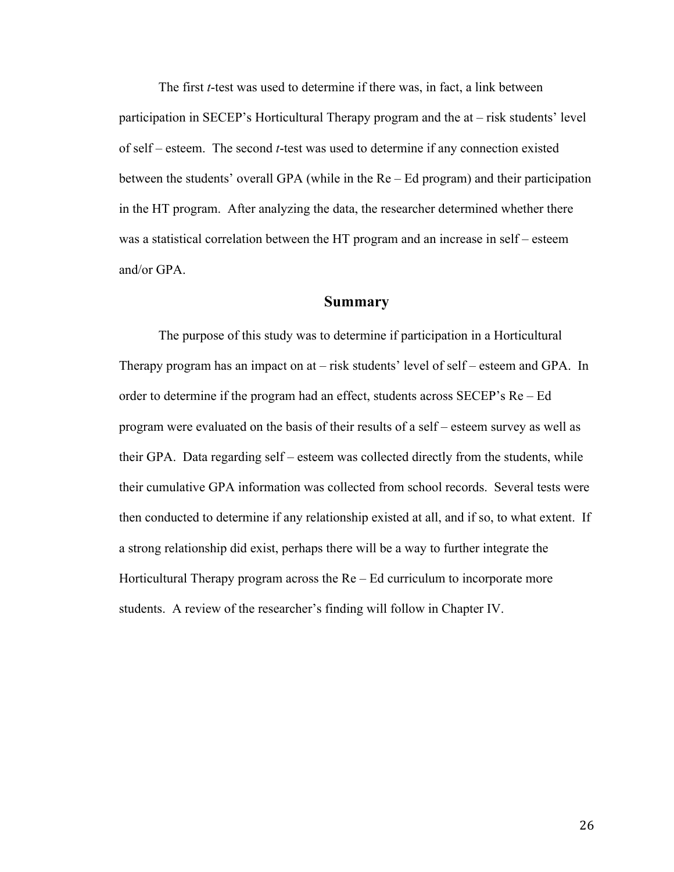The first *t*-test was used to determine if there was, in fact, a link between participation in SECEP's Horticultural Therapy program and the at – risk students' level of self – esteem. The second *t*-test was used to determine if any connection existed between the students' overall GPA (while in the Re – Ed program) and their participation in the HT program. After analyzing the data, the researcher determined whether there was a statistical correlation between the HT program and an increase in self – esteem and/or GPA.

#### **Summary**

The purpose of this study was to determine if participation in a Horticultural Therapy program has an impact on at – risk students' level of self – esteem and GPA. In order to determine if the program had an effect, students across SECEP's Re – Ed program were evaluated on the basis of their results of a self – esteem survey as well as their GPA. Data regarding self – esteem was collected directly from the students, while their cumulative GPA information was collected from school records. Several tests were then conducted to determine if any relationship existed at all, and if so, to what extent. If a strong relationship did exist, perhaps there will be a way to further integrate the Horticultural Therapy program across the Re – Ed curriculum to incorporate more students. A review of the researcher's finding will follow in Chapter IV.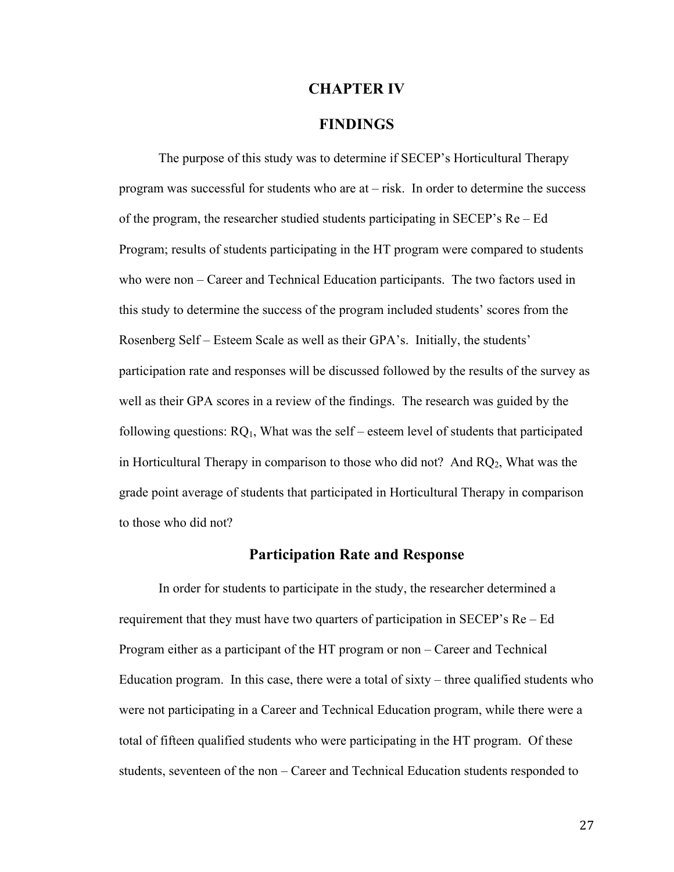#### **CHAPTER IV**

### **FINDINGS**

The purpose of this study was to determine if SECEP's Horticultural Therapy program was successful for students who are at – risk. In order to determine the success of the program, the researcher studied students participating in SECEP's Re – Ed Program; results of students participating in the HT program were compared to students who were non – Career and Technical Education participants. The two factors used in this study to determine the success of the program included students' scores from the Rosenberg Self – Esteem Scale as well as their GPA's. Initially, the students' participation rate and responses will be discussed followed by the results of the survey as well as their GPA scores in a review of the findings. The research was guided by the following questions:  $RQ_1$ , What was the self – esteem level of students that participated in Horticultural Therapy in comparison to those who did not? And  $RQ_2$ , What was the grade point average of students that participated in Horticultural Therapy in comparison to those who did not?

#### **Participation Rate and Response**

In order for students to participate in the study, the researcher determined a requirement that they must have two quarters of participation in SECEP's Re – Ed Program either as a participant of the HT program or non – Career and Technical Education program. In this case, there were a total of sixty – three qualified students who were not participating in a Career and Technical Education program, while there were a total of fifteen qualified students who were participating in the HT program. Of these students, seventeen of the non – Career and Technical Education students responded to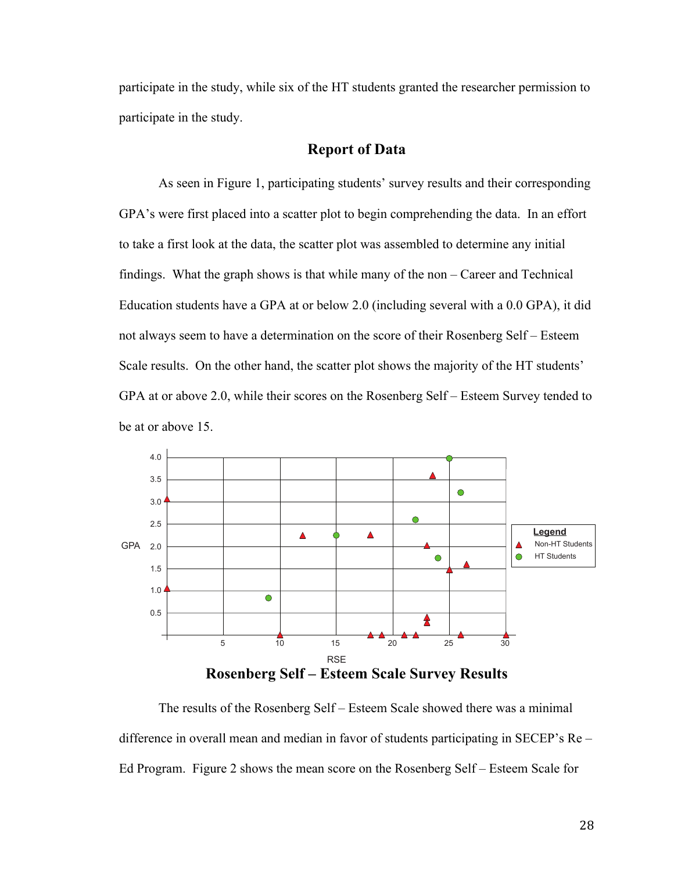participate in the study, while six of the HT students granted the researcher permission to participate in the study.

#### **Report of Data**

As seen in Figure 1, participating students' survey results and their corresponding GPA's were first placed into a scatter plot to begin comprehending the data. In an effort to take a first look at the data, the scatter plot was assembled to determine any initial findings. What the graph shows is that while many of the non – Career and Technical Education students have a GPA at or below 2.0 (including several with a 0.0 GPA), it did not always seem to have a determination on the score of their Rosenberg Self – Esteem Scale results. On the other hand, the scatter plot shows the majority of the HT students' GPA at or above 2.0, while their scores on the Rosenberg Self – Esteem Survey tended to be at or above 15.



The results of the Rosenberg Self – Esteem Scale showed there was a minimal difference in overall mean and median in favor of students participating in SECEP's Re – Ed Program. Figure 2 shows the mean score on the Rosenberg Self – Esteem Scale for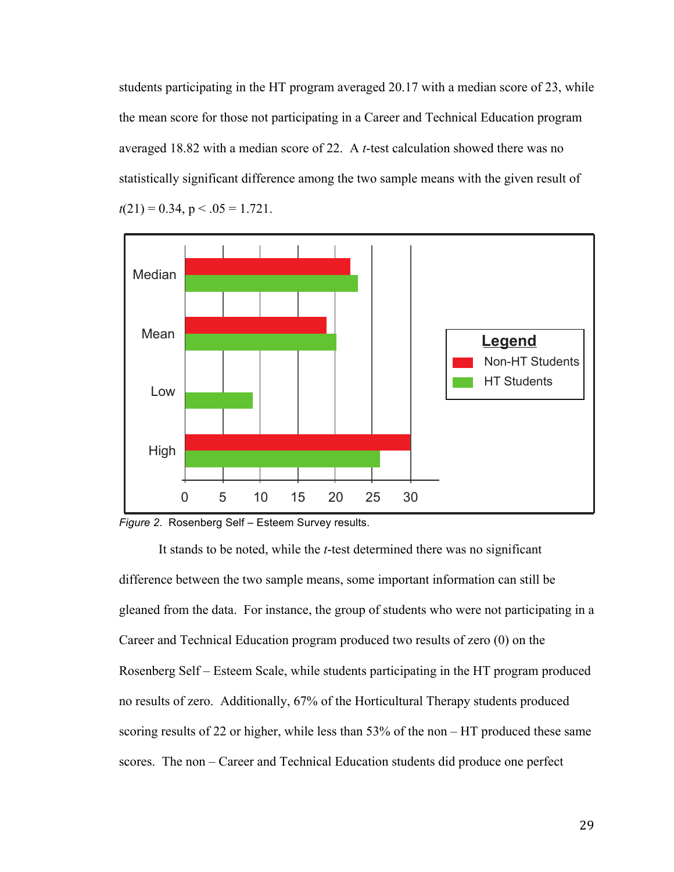students participating in the HT program averaged 20.17 with a median score of 23, while the mean score for those not participating in a Career and Technical Education program averaged 18.82 with a median score of 22. A *t*-test calculation showed there was no statistically significant difference among the two sample means with the given result of  $t(21) = 0.34$ ,  $p < .05 = 1.721$ .



*Figure 2*. Rosenberg Self – Esteem Survey results.

It stands to be noted, while the *t*-test determined there was no significant difference between the two sample means, some important information can still be gleaned from the data. For instance, the group of students who were not participating in a Career and Technical Education program produced two results of zero (0) on the Rosenberg Self – Esteem Scale, while students participating in the HT program produced no results of zero. Additionally, 67% of the Horticultural Therapy students produced scoring results of 22 or higher, while less than 53% of the non – HT produced these same scores. The non – Career and Technical Education students did produce one perfect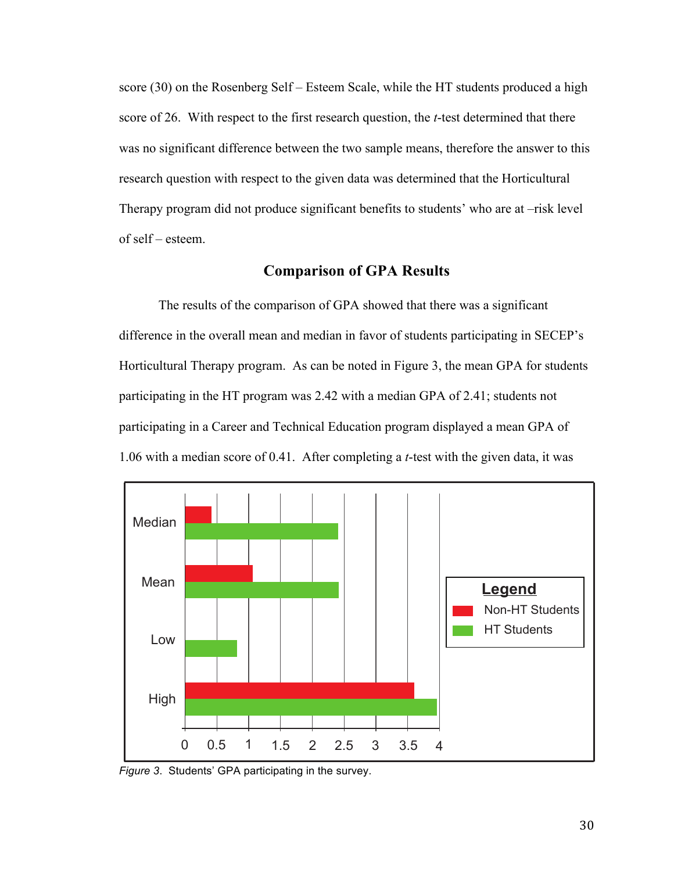score (30) on the Rosenberg Self – Esteem Scale, while the HT students produced a high score of 26. With respect to the first research question, the *t*-test determined that there was no significant difference between the two sample means, therefore the answer to this research question with respect to the given data was determined that the Horticultural Therapy program did not produce significant benefits to students' who are at –risk level of self – esteem.

### **Comparison of GPA Results**

The results of the comparison of GPA showed that there was a significant difference in the overall mean and median in favor of students participating in SECEP's Horticultural Therapy program. As can be noted in Figure 3, the mean GPA for students participating in the HT program was 2.42 with a median GPA of 2.41; students not participating in a Career and Technical Education program displayed a mean GPA of 1.06 with a median score of 0.41. After completing a *t*-test with the given data, it was



*Figure 3*. Students' GPA participating in the survey.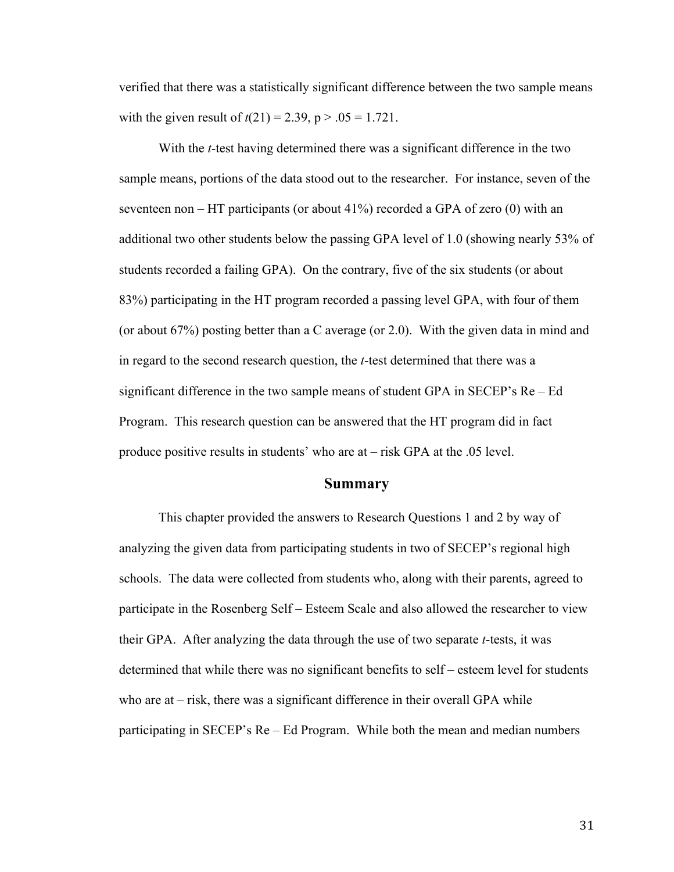verified that there was a statistically significant difference between the two sample means with the given result of  $t(21) = 2.39$ ,  $p > .05 = 1.721$ .

With the *t*-test having determined there was a significant difference in the two sample means, portions of the data stood out to the researcher. For instance, seven of the seventeen non – HT participants (or about  $41\%$ ) recorded a GPA of zero (0) with an additional two other students below the passing GPA level of 1.0 (showing nearly 53% of students recorded a failing GPA). On the contrary, five of the six students (or about 83%) participating in the HT program recorded a passing level GPA, with four of them (or about 67%) posting better than a C average (or 2.0). With the given data in mind and in regard to the second research question, the *t*-test determined that there was a significant difference in the two sample means of student GPA in SECEP's Re – Ed Program. This research question can be answered that the HT program did in fact produce positive results in students' who are at – risk GPA at the .05 level.

#### **Summary**

This chapter provided the answers to Research Questions 1 and 2 by way of analyzing the given data from participating students in two of SECEP's regional high schools. The data were collected from students who, along with their parents, agreed to participate in the Rosenberg Self – Esteem Scale and also allowed the researcher to view their GPA. After analyzing the data through the use of two separate *t*-tests, it was determined that while there was no significant benefits to self – esteem level for students who are at  $-$  risk, there was a significant difference in their overall GPA while participating in SECEP's Re – Ed Program. While both the mean and median numbers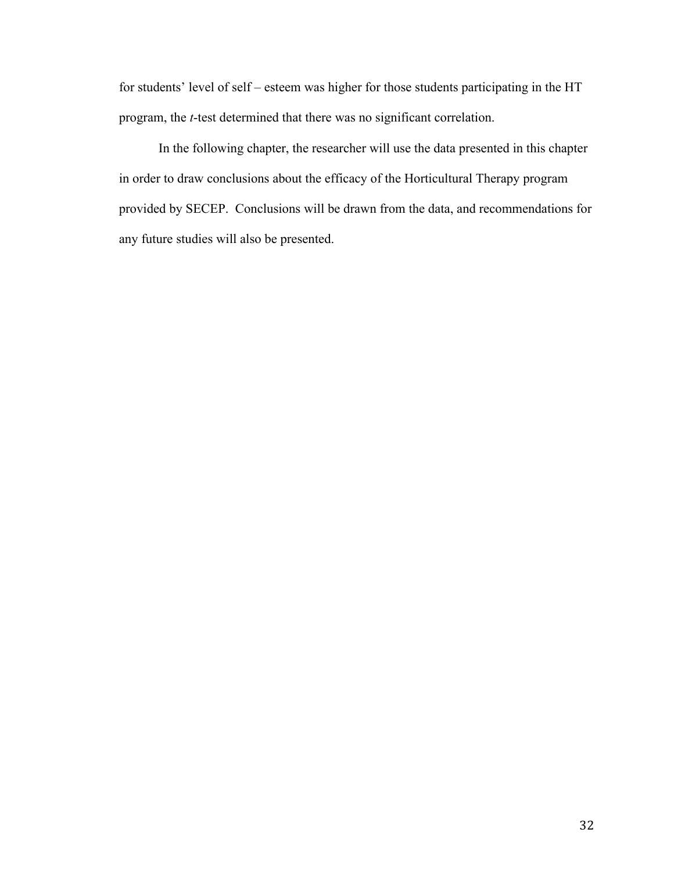for students' level of self – esteem was higher for those students participating in the HT program, the *t*-test determined that there was no significant correlation.

In the following chapter, the researcher will use the data presented in this chapter in order to draw conclusions about the efficacy of the Horticultural Therapy program provided by SECEP. Conclusions will be drawn from the data, and recommendations for any future studies will also be presented.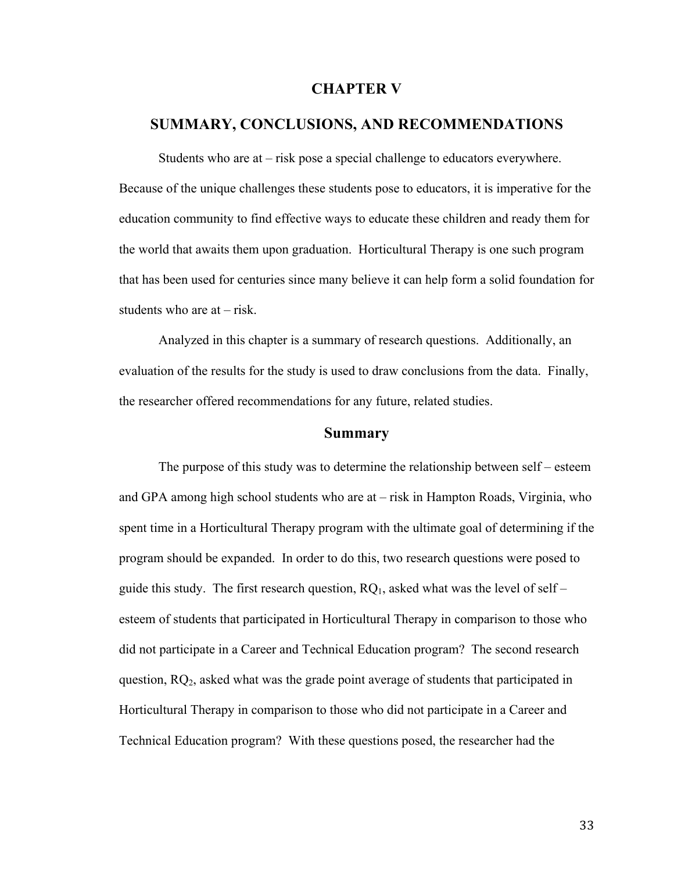#### **CHAPTER V**

# **SUMMARY, CONCLUSIONS, AND RECOMMENDATIONS**

Students who are at – risk pose a special challenge to educators everywhere. Because of the unique challenges these students pose to educators, it is imperative for the education community to find effective ways to educate these children and ready them for the world that awaits them upon graduation. Horticultural Therapy is one such program that has been used for centuries since many believe it can help form a solid foundation for students who are  $at - risk$ .

Analyzed in this chapter is a summary of research questions. Additionally, an evaluation of the results for the study is used to draw conclusions from the data. Finally, the researcher offered recommendations for any future, related studies.

#### **Summary**

The purpose of this study was to determine the relationship between self – esteem and GPA among high school students who are at – risk in Hampton Roads, Virginia, who spent time in a Horticultural Therapy program with the ultimate goal of determining if the program should be expanded. In order to do this, two research questions were posed to guide this study. The first research question,  $RQ_1$ , asked what was the level of self – esteem of students that participated in Horticultural Therapy in comparison to those who did not participate in a Career and Technical Education program? The second research question, RQ2, asked what was the grade point average of students that participated in Horticultural Therapy in comparison to those who did not participate in a Career and Technical Education program? With these questions posed, the researcher had the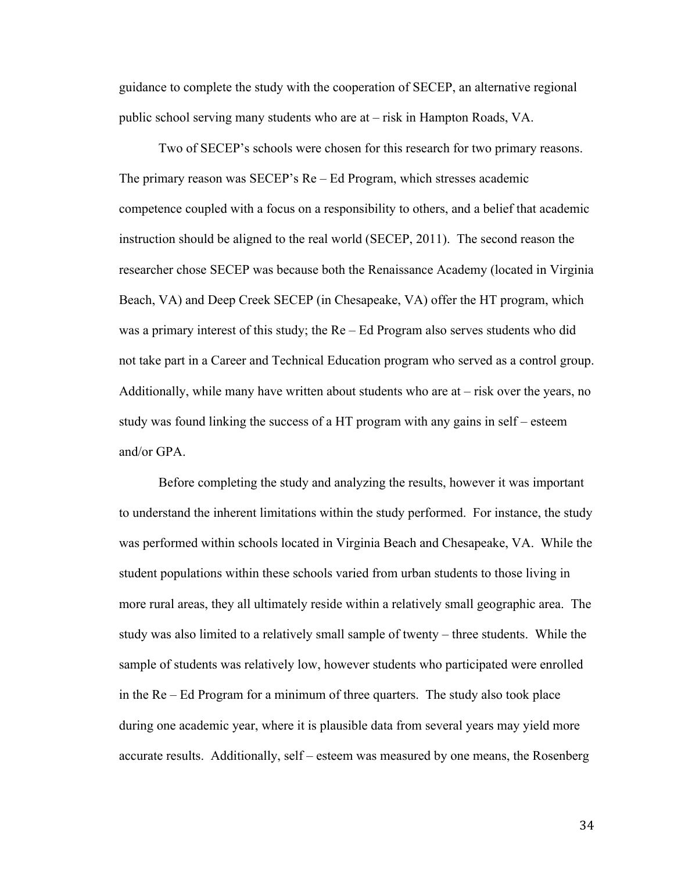guidance to complete the study with the cooperation of SECEP, an alternative regional public school serving many students who are at – risk in Hampton Roads, VA.

Two of SECEP's schools were chosen for this research for two primary reasons. The primary reason was SECEP's Re – Ed Program, which stresses academic competence coupled with a focus on a responsibility to others, and a belief that academic instruction should be aligned to the real world (SECEP, 2011). The second reason the researcher chose SECEP was because both the Renaissance Academy (located in Virginia Beach, VA) and Deep Creek SECEP (in Chesapeake, VA) offer the HT program, which was a primary interest of this study; the Re – Ed Program also serves students who did not take part in a Career and Technical Education program who served as a control group. Additionally, while many have written about students who are at – risk over the years, no study was found linking the success of a HT program with any gains in self – esteem and/or GPA.

Before completing the study and analyzing the results, however it was important to understand the inherent limitations within the study performed. For instance, the study was performed within schools located in Virginia Beach and Chesapeake, VA. While the student populations within these schools varied from urban students to those living in more rural areas, they all ultimately reside within a relatively small geographic area. The study was also limited to a relatively small sample of twenty – three students. While the sample of students was relatively low, however students who participated were enrolled in the Re – Ed Program for a minimum of three quarters. The study also took place during one academic year, where it is plausible data from several years may yield more accurate results. Additionally, self – esteem was measured by one means, the Rosenberg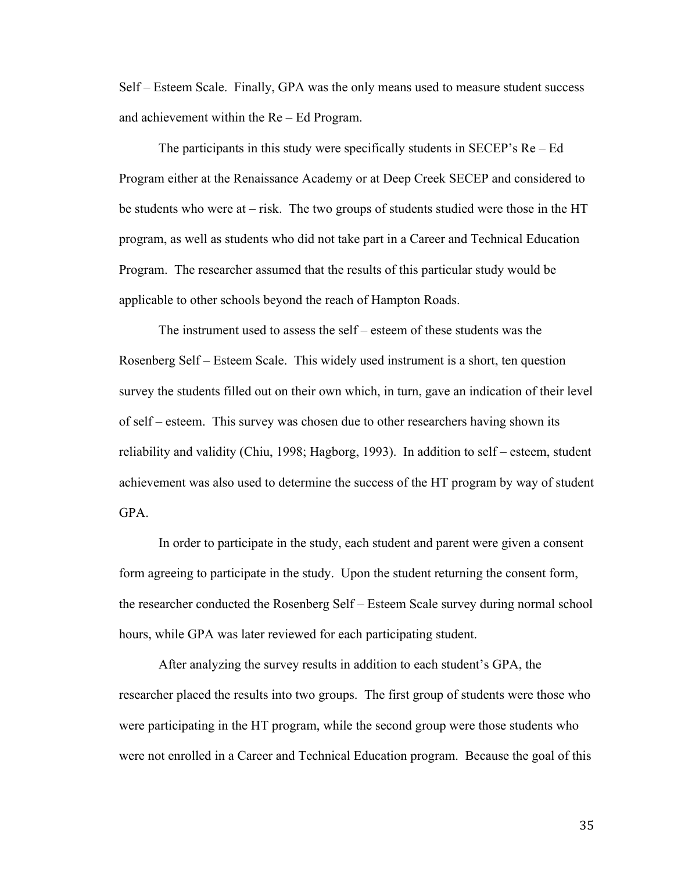Self – Esteem Scale. Finally, GPA was the only means used to measure student success and achievement within the Re – Ed Program.

The participants in this study were specifically students in SECEP's Re – Ed Program either at the Renaissance Academy or at Deep Creek SECEP and considered to be students who were at – risk. The two groups of students studied were those in the HT program, as well as students who did not take part in a Career and Technical Education Program. The researcher assumed that the results of this particular study would be applicable to other schools beyond the reach of Hampton Roads.

The instrument used to assess the self – esteem of these students was the Rosenberg Self – Esteem Scale. This widely used instrument is a short, ten question survey the students filled out on their own which, in turn, gave an indication of their level of self – esteem. This survey was chosen due to other researchers having shown its reliability and validity (Chiu, 1998; Hagborg, 1993). In addition to self – esteem, student achievement was also used to determine the success of the HT program by way of student GPA.

In order to participate in the study, each student and parent were given a consent form agreeing to participate in the study. Upon the student returning the consent form, the researcher conducted the Rosenberg Self – Esteem Scale survey during normal school hours, while GPA was later reviewed for each participating student.

After analyzing the survey results in addition to each student's GPA, the researcher placed the results into two groups. The first group of students were those who were participating in the HT program, while the second group were those students who were not enrolled in a Career and Technical Education program. Because the goal of this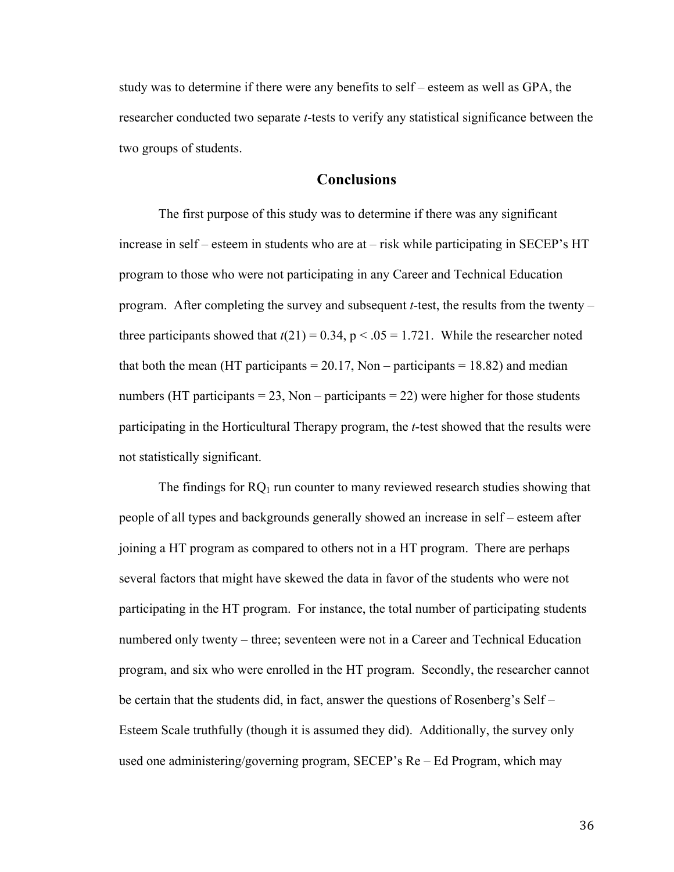study was to determine if there were any benefits to self – esteem as well as GPA, the researcher conducted two separate *t*-tests to verify any statistical significance between the two groups of students.

### **Conclusions**

The first purpose of this study was to determine if there was any significant increase in self – esteem in students who are at – risk while participating in SECEP's HT program to those who were not participating in any Career and Technical Education program. After completing the survey and subsequent *t*-test, the results from the twenty – three participants showed that  $t(21) = 0.34$ ,  $p < .05 = 1.721$ . While the researcher noted that both the mean (HT participants  $= 20.17$ , Non – participants  $= 18.82$ ) and median numbers (HT participants = 23, Non – participants = 22) were higher for those students participating in the Horticultural Therapy program, the *t*-test showed that the results were not statistically significant.

The findings for  $RQ_1$  run counter to many reviewed research studies showing that people of all types and backgrounds generally showed an increase in self – esteem after joining a HT program as compared to others not in a HT program. There are perhaps several factors that might have skewed the data in favor of the students who were not participating in the HT program. For instance, the total number of participating students numbered only twenty – three; seventeen were not in a Career and Technical Education program, and six who were enrolled in the HT program. Secondly, the researcher cannot be certain that the students did, in fact, answer the questions of Rosenberg's Self – Esteem Scale truthfully (though it is assumed they did). Additionally, the survey only used one administering/governing program, SECEP's Re – Ed Program, which may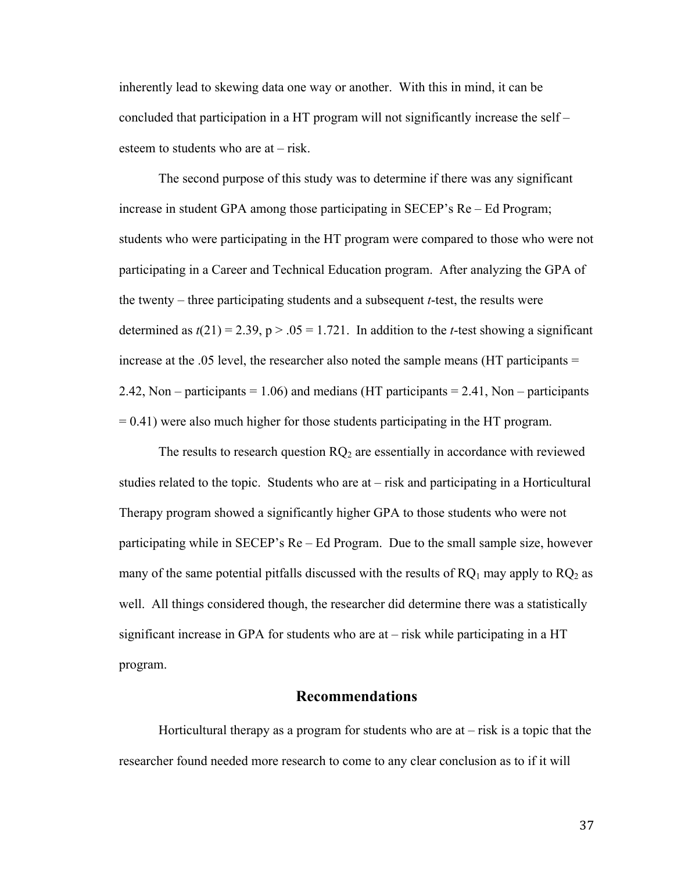inherently lead to skewing data one way or another. With this in mind, it can be concluded that participation in a HT program will not significantly increase the self – esteem to students who are at – risk.

The second purpose of this study was to determine if there was any significant increase in student GPA among those participating in SECEP's Re – Ed Program; students who were participating in the HT program were compared to those who were not participating in a Career and Technical Education program. After analyzing the GPA of the twenty – three participating students and a subsequent *t*-test, the results were determined as  $t(21) = 2.39$ ,  $p > 0.05 = 1.721$ . In addition to the *t*-test showing a significant increase at the .05 level, the researcher also noted the sample means (HT participants = 2.42, Non – participants  $= 1.06$ ) and medians (HT participants  $= 2.41$ , Non – participants  $= 0.41$ ) were also much higher for those students participating in the HT program.

The results to research question  $RQ_2$  are essentially in accordance with reviewed studies related to the topic. Students who are at – risk and participating in a Horticultural Therapy program showed a significantly higher GPA to those students who were not participating while in SECEP's Re – Ed Program. Due to the small sample size, however many of the same potential pitfalls discussed with the results of  $RQ_1$  may apply to  $RQ_2$  as well. All things considered though, the researcher did determine there was a statistically significant increase in GPA for students who are at – risk while participating in a HT program.

#### **Recommendations**

Horticultural therapy as a program for students who are  $at - risk$  is a topic that the researcher found needed more research to come to any clear conclusion as to if it will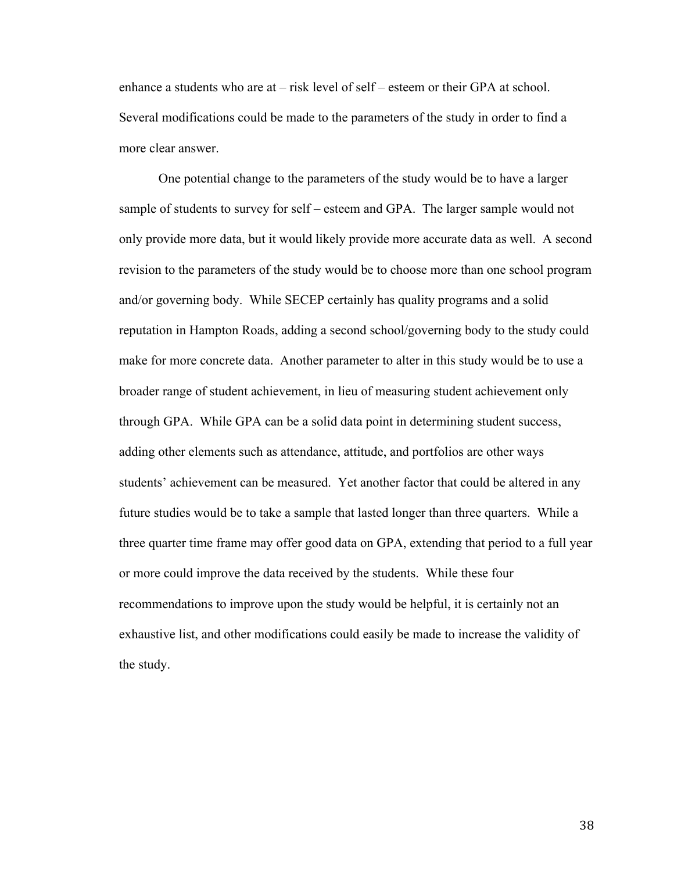enhance a students who are at – risk level of self – esteem or their GPA at school. Several modifications could be made to the parameters of the study in order to find a more clear answer.

One potential change to the parameters of the study would be to have a larger sample of students to survey for self – esteem and GPA. The larger sample would not only provide more data, but it would likely provide more accurate data as well. A second revision to the parameters of the study would be to choose more than one school program and/or governing body. While SECEP certainly has quality programs and a solid reputation in Hampton Roads, adding a second school/governing body to the study could make for more concrete data. Another parameter to alter in this study would be to use a broader range of student achievement, in lieu of measuring student achievement only through GPA. While GPA can be a solid data point in determining student success, adding other elements such as attendance, attitude, and portfolios are other ways students' achievement can be measured. Yet another factor that could be altered in any future studies would be to take a sample that lasted longer than three quarters. While a three quarter time frame may offer good data on GPA, extending that period to a full year or more could improve the data received by the students. While these four recommendations to improve upon the study would be helpful, it is certainly not an exhaustive list, and other modifications could easily be made to increase the validity of the study.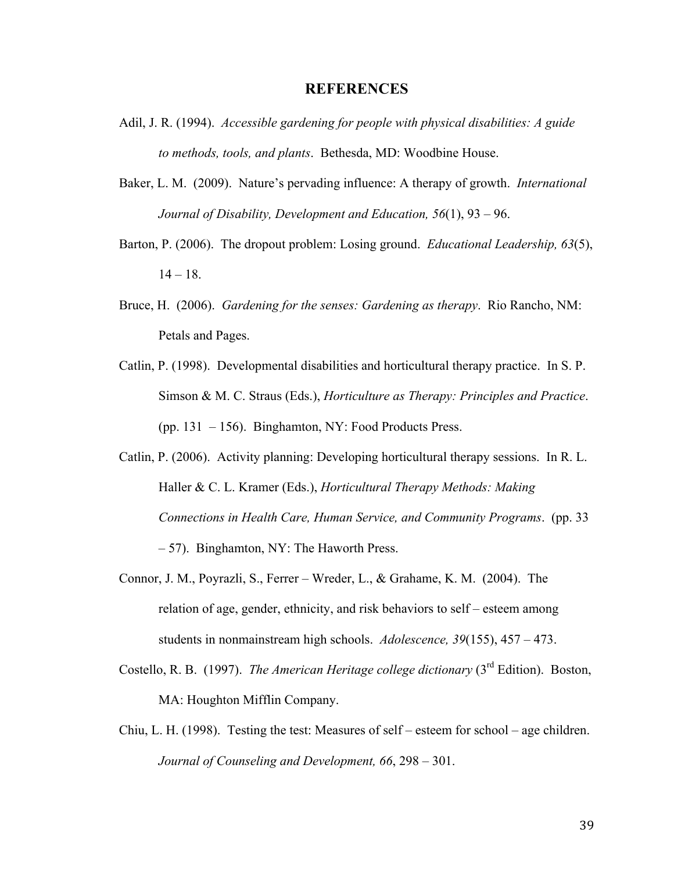#### **REFERENCES**

- Adil, J. R. (1994). *Accessible gardening for people with physical disabilities: A guide to methods, tools, and plants*. Bethesda, MD: Woodbine House.
- Baker, L. M. (2009). Nature's pervading influence: A therapy of growth. *International Journal of Disability, Development and Education, 56*(1), 93 – 96.
- Barton, P. (2006). The dropout problem: Losing ground. *Educational Leadership, 63*(5),  $14 - 18$ .
- Bruce, H. (2006). *Gardening for the senses: Gardening as therapy*. Rio Rancho, NM: Petals and Pages.
- Catlin, P. (1998). Developmental disabilities and horticultural therapy practice. In S. P. Simson & M. C. Straus (Eds.), *Horticulture as Therapy: Principles and Practice*. (pp. 131 – 156). Binghamton, NY: Food Products Press.
- Catlin, P. (2006). Activity planning: Developing horticultural therapy sessions. In R. L. Haller & C. L. Kramer (Eds.), *Horticultural Therapy Methods: Making Connections in Health Care, Human Service, and Community Programs*. (pp. 33 – 57). Binghamton, NY: The Haworth Press.
- Connor, J. M., Poyrazli, S., Ferrer Wreder, L., & Grahame, K. M. (2004). The relation of age, gender, ethnicity, and risk behaviors to self – esteem among students in nonmainstream high schools. *Adolescence, 39*(155), 457 – 473.
- Costello, R. B. (1997). *The American Heritage college dictionary* (3rd Edition). Boston, MA: Houghton Mifflin Company.
- Chiu, L. H. (1998). Testing the test: Measures of self esteem for school age children. *Journal of Counseling and Development, 66*, 298 – 301.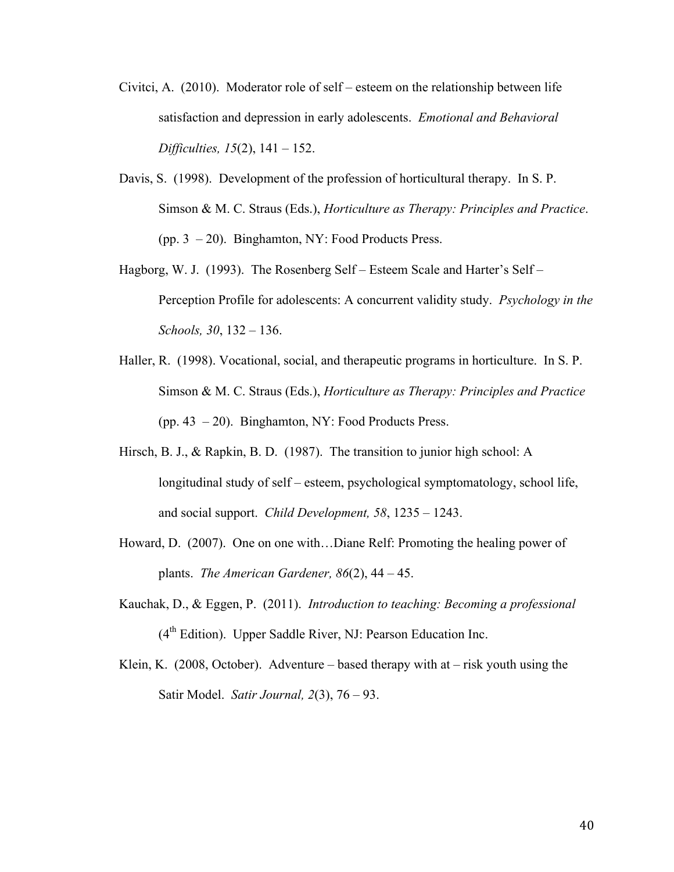- Civitci, A. (2010). Moderator role of self esteem on the relationship between life satisfaction and depression in early adolescents. *Emotional and Behavioral Difficulties, 15*(2), 141 – 152.
- Davis, S. (1998). Development of the profession of horticultural therapy. In S. P. Simson & M. C. Straus (Eds.), *Horticulture as Therapy: Principles and Practice*. (pp. 3 – 20). Binghamton, NY: Food Products Press.
- Hagborg, W. J. (1993). The Rosenberg Self Esteem Scale and Harter's Self Perception Profile for adolescents: A concurrent validity study. *Psychology in the Schools, 30*, 132 – 136.
- Haller, R. (1998). Vocational, social, and therapeutic programs in horticulture. In S. P. Simson & M. C. Straus (Eds.), *Horticulture as Therapy: Principles and Practice* (pp. 43 – 20). Binghamton, NY: Food Products Press.
- Hirsch, B. J., & Rapkin, B. D. (1987). The transition to junior high school: A longitudinal study of self – esteem, psychological symptomatology, school life, and social support. *Child Development, 58*, 1235 – 1243.
- Howard, D. (2007). One on one with…Diane Relf: Promoting the healing power of plants. *The American Gardener, 86*(2), 44 – 45.
- Kauchak, D., & Eggen, P. (2011). *Introduction to teaching: Becoming a professional*  $(4<sup>th</sup> Edition)$ . Upper Saddle River, NJ: Pearson Education Inc.
- Klein, K. (2008, October). Adventure based therapy with at risk youth using the Satir Model. *Satir Journal, 2*(3), 76 – 93.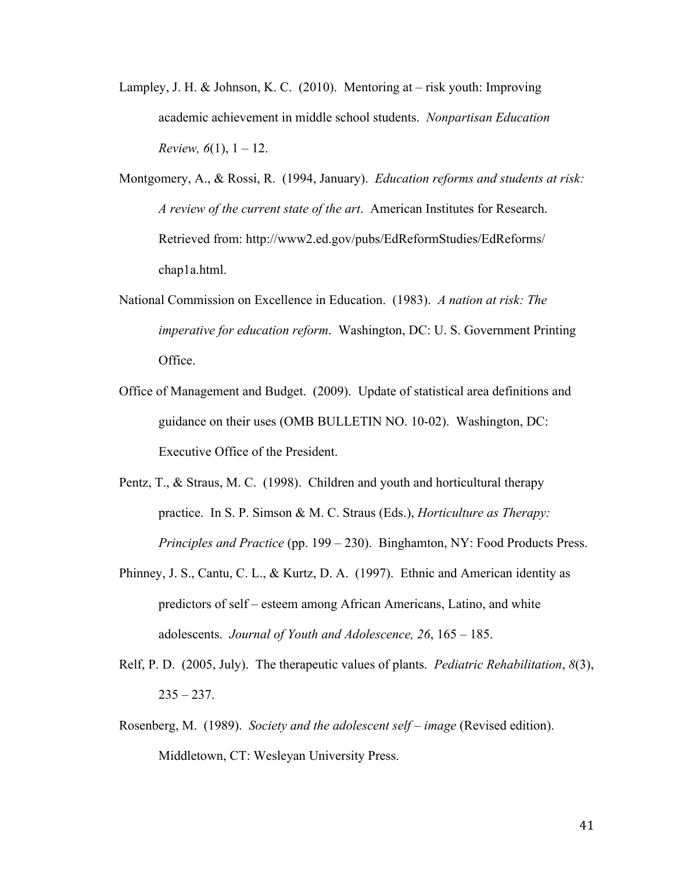- Lampley, J. H. & Johnson, K. C. (2010). Mentoring at risk youth: Improving academic achievement in middle school students. *Nonpartisan Education Review,*  $6(1)$ ,  $1 - 12$ .
- Montgomery, A., & Rossi, R. (1994, January). *Education reforms and students at risk: A review of the current state of the art*. American Institutes for Research. Retrieved from: http://www2.ed.gov/pubs/EdReformStudies/EdReforms/ chap1a.html.
- National Commission on Excellence in Education. (1983). *A nation at risk: The imperative for education reform*. Washington, DC: U. S. Government Printing Office.
- Office of Management and Budget. (2009). Update of statistical area definitions and guidance on their uses (OMB BULLETIN NO. 10-02). Washington, DC: Executive Office of the President.
- Pentz, T., & Straus, M. C. (1998). Children and youth and horticultural therapy practice. In S. P. Simson & M. C. Straus (Eds.), *Horticulture as Therapy: Principles and Practice* (pp. 199 – 230). Binghamton, NY: Food Products Press.
- Phinney, J. S., Cantu, C. L., & Kurtz, D. A. (1997). Ethnic and American identity as predictors of self – esteem among African Americans, Latino, and white adolescents. *Journal of Youth and Adolescence, 26*, 165 – 185.
- Relf, P. D. (2005, July). The therapeutic values of plants. *Pediatric Rehabilitation*, *8*(3),  $235 - 237$ .
- Rosenberg, M. (1989). *Society and the adolescent self image* (Revised edition). Middletown, CT: Wesleyan University Press.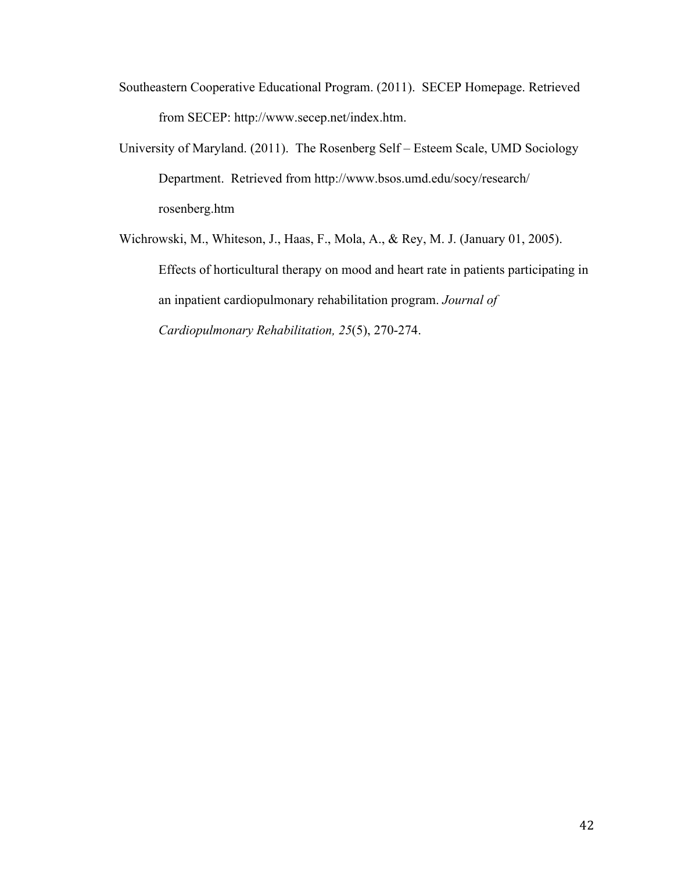- Southeastern Cooperative Educational Program. (2011). SECEP Homepage. Retrieved from SECEP: http://www.secep.net/index.htm.
- University of Maryland. (2011). The Rosenberg Self Esteem Scale, UMD Sociology Department. Retrieved from http://www.bsos.umd.edu/socy/research/ rosenberg.htm
- Wichrowski, M., Whiteson, J., Haas, F., Mola, A., & Rey, M. J. (January 01, 2005). Effects of horticultural therapy on mood and heart rate in patients participating in an inpatient cardiopulmonary rehabilitation program. *Journal of Cardiopulmonary Rehabilitation, 25*(5), 270-274.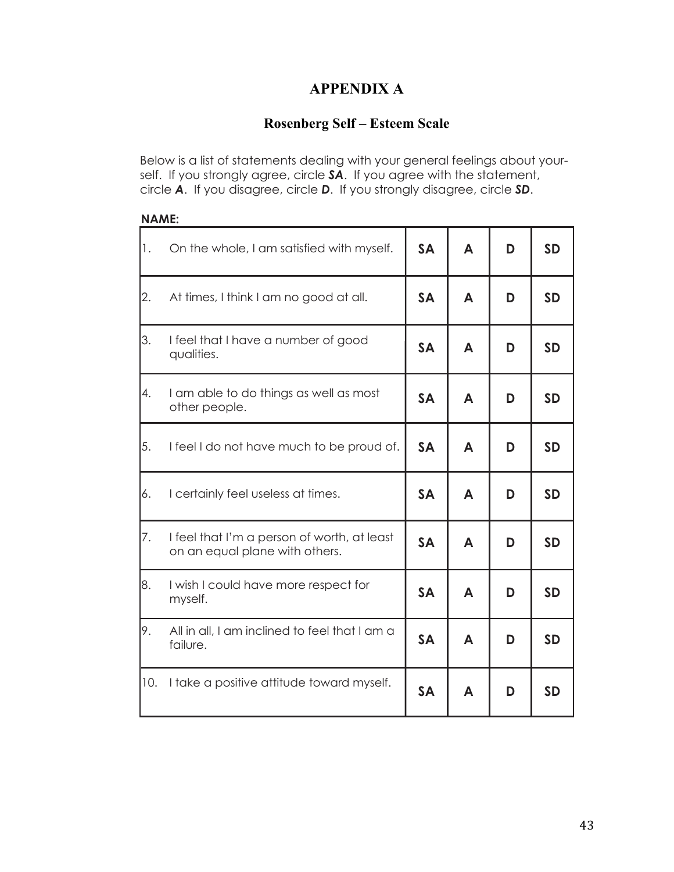# **APPENDIX A**

# **Rosenberg Self – Esteem Scale**

Below is a list of statements dealing with your general feelings about yourself. If you strongly agree, circle *SA*. If you agree with the statement, circle *A*. If you disagree, circle *D*. If you strongly disagree, circle *SD*.

### **NAME:**

| 1.  | On the whole, I am satisfied with myself.                                     | <b>SA</b>           | A |   | <b>SD</b> |
|-----|-------------------------------------------------------------------------------|---------------------|---|---|-----------|
| 2.  | At times, I think I am no good at all.                                        | <b>SA</b><br>A      |   | D | <b>SD</b> |
| 3.  | I feel that I have a number of good<br>qualities.                             | <b>SA</b>           | A | D | <b>SD</b> |
| 4.  | I am able to do things as well as most<br>other people.                       | <b>SA</b><br>A      |   | D | <b>SD</b> |
| 5.  | I feel I do not have much to be proud of.                                     | <b>SA</b>           | A | D | <b>SD</b> |
| 6.  | I certainly feel useless at times.                                            | <b>SA</b><br>A      |   | D | <b>SD</b> |
| 7.  | I feel that I'm a person of worth, at least<br>on an equal plane with others. | <b>SA</b>           | A | D | <b>SD</b> |
| 8.  | I wish I could have more respect for<br>myself.                               |                     | A | D | <b>SD</b> |
| 9.  | All in all, I am inclined to feel that I am a<br>failure.                     | <b>SA</b><br>A<br>D |   |   | <b>SD</b> |
| 10. | I take a positive attitude toward myself.                                     | <b>SA</b>           | A | D | <b>SD</b> |